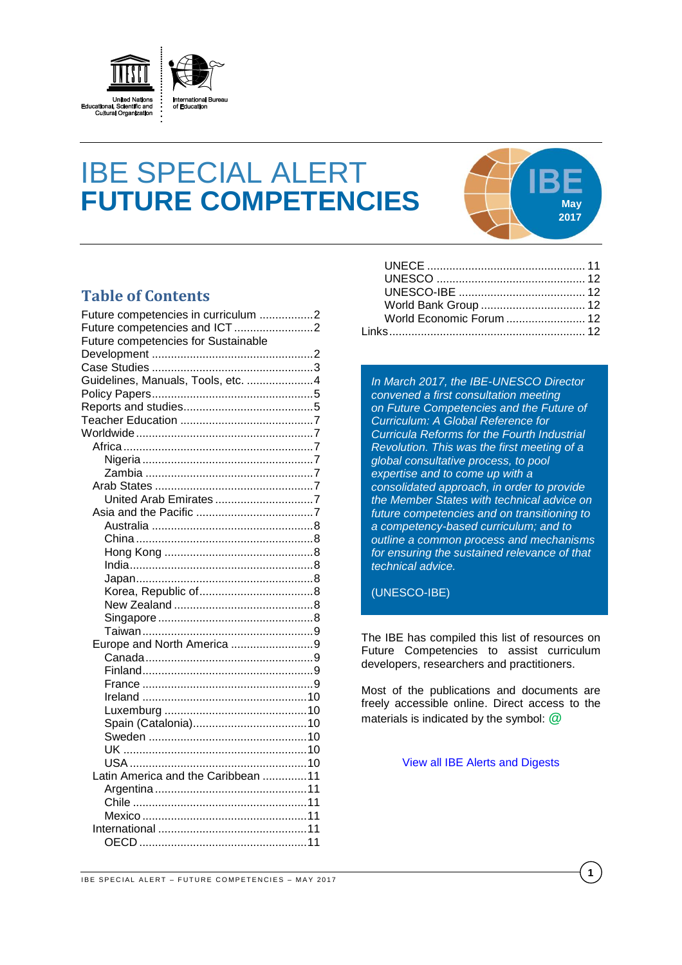

# IBE SPECIAL ALERT **FUTURE COMPETENCIES May**



# **Table of Contents**

| Future competencies in curriculum 2 |  |
|-------------------------------------|--|
|                                     |  |
| Future competencies for Sustainable |  |
|                                     |  |
|                                     |  |
| Guidelines, Manuals, Tools, etc. 4  |  |
|                                     |  |
|                                     |  |
|                                     |  |
|                                     |  |
|                                     |  |
|                                     |  |
|                                     |  |
|                                     |  |
|                                     |  |
|                                     |  |
|                                     |  |
|                                     |  |
|                                     |  |
|                                     |  |
|                                     |  |
|                                     |  |
|                                     |  |
|                                     |  |
|                                     |  |
| Europe and North America 9          |  |
|                                     |  |
|                                     |  |
|                                     |  |
|                                     |  |
|                                     |  |
|                                     |  |
|                                     |  |
|                                     |  |
|                                     |  |
| Latin America and the Caribbean 11  |  |
|                                     |  |
|                                     |  |
|                                     |  |
|                                     |  |
|                                     |  |
|                                     |  |

| World Economic Forum  12 |  |
|--------------------------|--|
|                          |  |

*In March 2017, the IBE-UNESCO Director convened a first consultation meeting on Future Competencies and the Future of Curriculum: A Global Reference for Curricula Reforms for the Fourth Industrial Revolution. This was the first meeting of a global consultative process, to pool expertise and to come up with a consolidated approach, in order to provide the Member States with technical advice on future competencies and on transitioning to a competency-based curriculum; and to outline a common process and mechanisms for ensuring the sustained relevance of that technical advice.*

(UNESCO-IBE)

The IBE has compiled this list of resources on Future Competencies to assist curriculum developers, researchers and practitioners.

Most of the publications and documents are freely accessible online. Direct access to the materials is indicated by the symbol: **@**

[View all IBE Alerts and Digests](http://www.ibe.unesco.org/en/services/online-materials/digests-and-alert-services.html)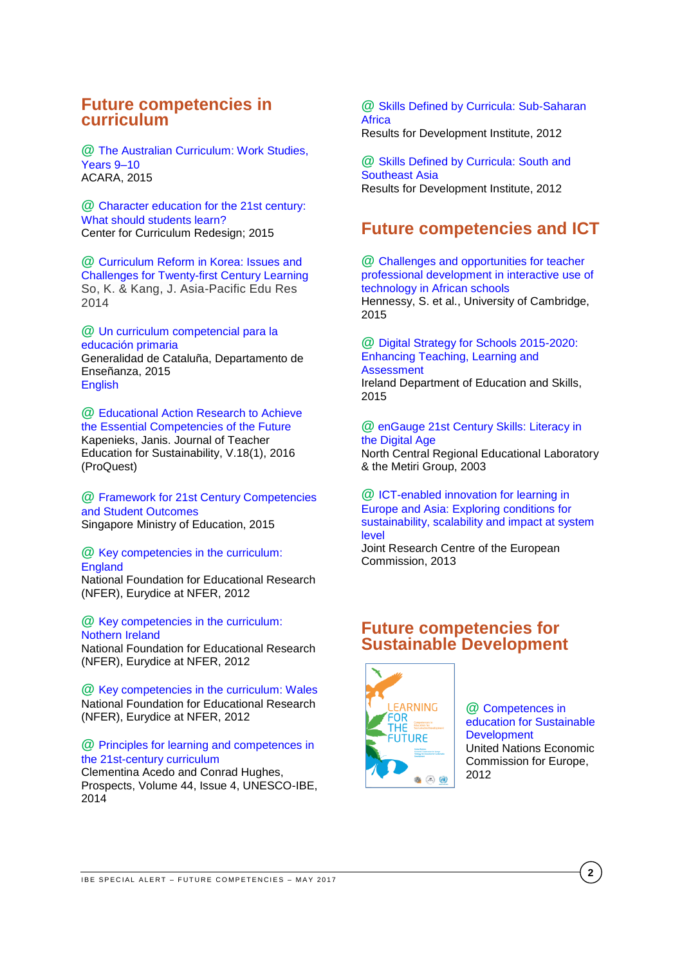# <span id="page-1-0"></span>**Future competencies in curriculum**

**@** [The Australian Curriculum: Work Studies,](http://www.australiancurriculum.edu.au/work-studies/introduction)  [Years 9–10](http://www.australiancurriculum.edu.au/work-studies/introduction) ACARA, 2015

**@** [Character education for the 21st century:](http://curriculumredesign.org/wp-content/uploads/CCR-CharacterEducation_FINAL_27Feb2015.pdf)  [What should students learn?](http://curriculumredesign.org/wp-content/uploads/CCR-CharacterEducation_FINAL_27Feb2015.pdf) Center for Curriculum Redesign; 2015

**@** [Curriculum Reform in Korea: Issues and](https://rd.springer.com/article/10.1007/s40299-013-0161-2)  [Challenges for Twenty-first Century Learning](https://rd.springer.com/article/10.1007/s40299-013-0161-2) So, K. & Kang, J. Asia-Pacific Edu Res 2014

**@** [Un curriculum competencial para la](http://ensenyament.gencat.cat/web/.content/home/departament/linies-estrategiques/curriculums-competencials/curriculum_primaria_es.pdf)  [educación primaria](http://ensenyament.gencat.cat/web/.content/home/departament/linies-estrategiques/curriculums-competencials/curriculum_primaria_es.pdf) Generalidad de Cataluña, Departamento de Enseñanza, 2015 **[English](http://ensenyament.gencat.cat/web/.content/home/departament/linies-estrategiques/curriculums-competencials/curriculum_primaria_en.pdf)** 

**@** [Educational Action Research to Achieve](http://search.proquest.com/central/docview/1819251177/fulltextPDF/BA9080FD9ABA4412PQ/2?accountid=41859)  [the Essential Competencies of the Future](http://search.proquest.com/central/docview/1819251177/fulltextPDF/BA9080FD9ABA4412PQ/2?accountid=41859) Kapenieks, Janis. Journal of Teacher Education for Sustainability, V.18(1), 2016 (ProQuest)

**@** [Framework for 21st Century Competencies](https://www.moe.gov.sg/education/education-system/21st-century-competencies)  [and Student Outcomes](https://www.moe.gov.sg/education/education-system/21st-century-competencies) Singapore Ministry of Education, 2015

**@** [Key competencies in the curriculum:](https://www.nfer.ac.uk/pdf/KeyCompetencesEngland.pdf)  **[England](https://www.nfer.ac.uk/pdf/KeyCompetencesEngland.pdf)** National Foundation for Educational Research

(NFER), Eurydice at NFER, 2012

**@** [Key competencies in the curriculum:](https://www.nfer.ac.uk/pdf/KeyCompetencesNorthernIreland1.pdf)  [Nothern Ireland](https://www.nfer.ac.uk/pdf/KeyCompetencesNorthernIreland1.pdf) National Foundation for Educational Research (NFER), Eurydice at NFER, 2012

**@** [Key competencies in the curriculum: Wales](https://www.nfer.ac.uk/pdf/KeyCompetencesWales.pdf) National Foundation for Educational Research (NFER), Eurydice at NFER, 2012

#### **@** [Principles for learning and competences in](http://download.springer.com/static/pdf/611/art%253A10.1007%252Fs11125-014-9330-1.pdf?originUrl=http%3A%2F%2Flink.springer.com%2Farticle%2F10.1007%2Fs11125-014-9330-1&token2=exp=1495803220~acl=%2Fstatic%2Fpdf%2F611%2Fart%25253A10.1007%25252Fs11125-014-9330-1.pdf%3ForiginUrl%3Dhttp%253A%252F%252Flink.springer.com%252Farticle%252F10.1007%252Fs11125-014-9330-1*~hmac=7aa7f0c2959ba4f69ec2fdd69ec282134c194d89f12841661aced7e381441dd5)  [the 21st-century curriculum](http://download.springer.com/static/pdf/611/art%253A10.1007%252Fs11125-014-9330-1.pdf?originUrl=http%3A%2F%2Flink.springer.com%2Farticle%2F10.1007%2Fs11125-014-9330-1&token2=exp=1495803220~acl=%2Fstatic%2Fpdf%2F611%2Fart%25253A10.1007%25252Fs11125-014-9330-1.pdf%3ForiginUrl%3Dhttp%253A%252F%252Flink.springer.com%252Farticle%252F10.1007%252Fs11125-014-9330-1*~hmac=7aa7f0c2959ba4f69ec2fdd69ec282134c194d89f12841661aced7e381441dd5)

Clementina Acedo and Conrad Hughes, Prospects, Volume 44, Issue 4, UNESCO-IBE, 2014

**@** [Skills Defined by Curricula: Sub-Saharan](http://www.resultsfordevelopment.org/sites/resultsfordevelopment.org/files/resources/Skills%20Defined%20by%20Curricula%20in%20Sub-Saharan%20Africa.pdf)  **[Africa](http://www.resultsfordevelopment.org/sites/resultsfordevelopment.org/files/resources/Skills%20Defined%20by%20Curricula%20in%20Sub-Saharan%20Africa.pdf)** Results for Development Institute, 2012

**@** [Skills Defined by Curricula: South and](http://www.resultsfordevelopment.org/sites/resultsfordevelopment.org/files/resources/Skills%20Defined%20by%20Curricula%20in%20South%20and%20Southeast%20Asia.pdf)  [Southeast Asia](http://www.resultsfordevelopment.org/sites/resultsfordevelopment.org/files/resources/Skills%20Defined%20by%20Curricula%20in%20South%20and%20Southeast%20Asia.pdf) Results for Development Institute, 2012

# <span id="page-1-1"></span>**Future competencies and ICT**

**@** [Challenges and opportunities for teacher](https://www.researchgate.net/profile/Sara_Hennessy/publication/280527718_Challenges_and_opportunities_for_teacher_professional_development_in_interactive_use_of_technology_in_African_schools/links/55b763ba08ae9289a08be3bf/Challenges-and-opportunities-for-teacher-professional-development-in-interactive-use-of-technology-in-African-schools.pdf)  [professional development in interactive use of](https://www.researchgate.net/profile/Sara_Hennessy/publication/280527718_Challenges_and_opportunities_for_teacher_professional_development_in_interactive_use_of_technology_in_African_schools/links/55b763ba08ae9289a08be3bf/Challenges-and-opportunities-for-teacher-professional-development-in-interactive-use-of-technology-in-African-schools.pdf)  [technology in African schools](https://www.researchgate.net/profile/Sara_Hennessy/publication/280527718_Challenges_and_opportunities_for_teacher_professional_development_in_interactive_use_of_technology_in_African_schools/links/55b763ba08ae9289a08be3bf/Challenges-and-opportunities-for-teacher-professional-development-in-interactive-use-of-technology-in-African-schools.pdf) Hennessy, S. et al., University of Cambridge, 2015

**@** [Digital Strategy for Schools 2015-2020:](https://www.education.ie/en/Publications/Policy-Reports/Digital-Strategy-for-Schools-2015-2020.pdf)  [Enhancing Teaching, Learning and](https://www.education.ie/en/Publications/Policy-Reports/Digital-Strategy-for-Schools-2015-2020.pdf)  **[Assessment](https://www.education.ie/en/Publications/Policy-Reports/Digital-Strategy-for-Schools-2015-2020.pdf)** Ireland Department of Education and Skills, 2015

**@** [enGauge 21st Century Skills: Literacy in](http://pict.sdsu.edu/engauge21st.pdf)  [the Digital Age](http://pict.sdsu.edu/engauge21st.pdf) North Central Regional Educational Laboratory & the Metiri Group, 2003

**@** [ICT-enabled innovation for learning in](http://ftp.jrc.es/EURdoc/JRC83503.pdf)  [Europe and Asia: Exploring conditions for](http://ftp.jrc.es/EURdoc/JRC83503.pdf)  [sustainability, scalability and impact at system](http://ftp.jrc.es/EURdoc/JRC83503.pdf)  [level](http://ftp.jrc.es/EURdoc/JRC83503.pdf)

Joint Research Centre of the European Commission, 2013

# <span id="page-1-2"></span>**Future competencies for Sustainable Development**



**@** [Competences in](https://www.unece.org/fileadmin/DAM/env/esd/ESD_Publications/Competences_Publication.pdf)  [education for Sustainable](https://www.unece.org/fileadmin/DAM/env/esd/ESD_Publications/Competences_Publication.pdf)  **[Development](https://www.unece.org/fileadmin/DAM/env/esd/ESD_Publications/Competences_Publication.pdf)** United Nations Economic Commission for Europe, 2012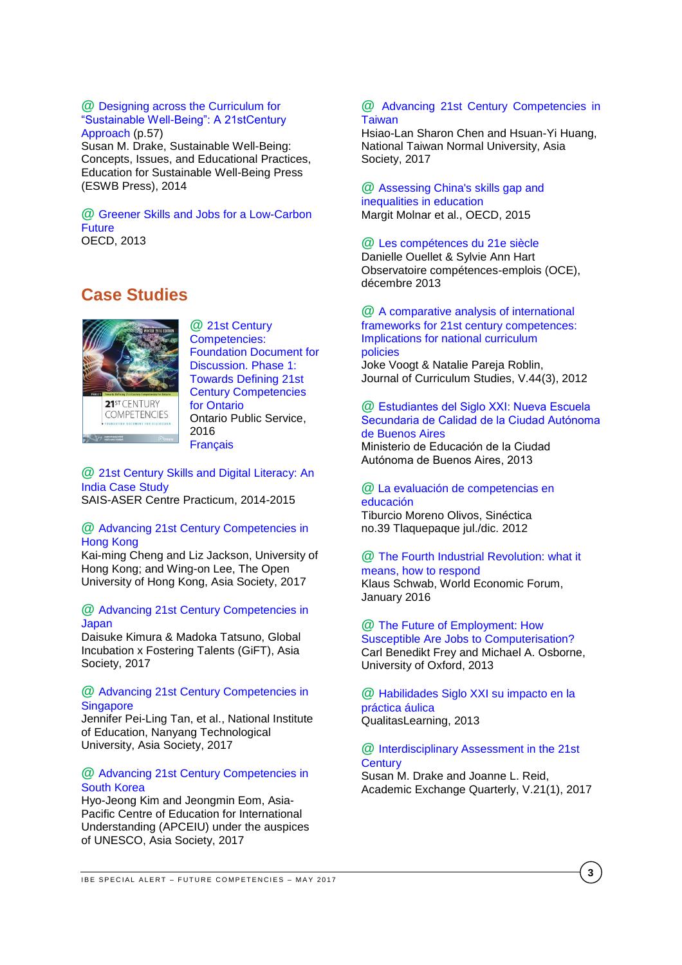#### **@** [Designing across the Curriculum for](http://www.eswb-press.org/uploads/1/2/8/9/12899389/sustainable_well-being_2014.pdf)  ["Sustainable Well-Being": A 21stCentury](http://www.eswb-press.org/uploads/1/2/8/9/12899389/sustainable_well-being_2014.pdf)  [Approach](http://www.eswb-press.org/uploads/1/2/8/9/12899389/sustainable_well-being_2014.pdf) (p.57)

Susan M. Drake, Sustainable Well-Being: Concepts, Issues, and Educational Practices, Education for Sustainable Well-Being Press (ESWB Press), 2014

# **@** Greener [Skills and Jobs for a Low-Carbon](http://www.oecd-ilibrary.org/docserver/download/5k3v1dtzlxzq-en.pdf?expires=1494495502&id=id&accname=guest&checksum=B5B82DB47200B0CEEAC0F914C9BF3875)  **[Future](http://www.oecd-ilibrary.org/docserver/download/5k3v1dtzlxzq-en.pdf?expires=1494495502&id=id&accname=guest&checksum=B5B82DB47200B0CEEAC0F914C9BF3875)**

OECD, 2013

# 21ST CENTURY **COMPETENCIES**

<span id="page-2-0"></span>**Case Studies**

**@** [21st Century](http://www.edugains.ca/resources21CL/About21stCentury/21CL_21stCenturyCompetencies.pdf)  [Competencies:](http://www.edugains.ca/resources21CL/About21stCentury/21CL_21stCenturyCompetencies.pdf)  [Foundation Document for](http://www.edugains.ca/resources21CL/About21stCentury/21CL_21stCenturyCompetencies.pdf)  [Discussion. Phase 1:](http://www.edugains.ca/resources21CL/About21stCentury/21CL_21stCenturyCompetencies.pdf)  [Towards Defining 21st](http://www.edugains.ca/resources21CL/About21stCentury/21CL_21stCenturyCompetencies.pdf)  [Century Competencies](http://www.edugains.ca/resources21CL/About21stCentury/21CL_21stCenturyCompetencies.pdf)  [for Ontario](http://www.edugains.ca/resources21CL/About21stCentury/21CL_21stCenturyCompetencies.pdf)  Ontario Public Service, 2016 **[Français](https://pedagogienumeriqueenaction.cforp.ca/wp-content/uploads/2016/03/Definir-les-competences-du-21e-siecle-pour-l_Ontario-Document-de-reflexion-phase-1-2016.pdf)** 

## **@** [21st Century Skills and Digital Literacy: An](http://www.sais-jhu.edu/sites/default/files/Publishable%20ASER%20Deliverables.pdf)  [India Case Study](http://www.sais-jhu.edu/sites/default/files/Publishable%20ASER%20Deliverables.pdf)  SAIS-ASER Centre Practicum, 2014-2015

# **@** [Advancing 21st Century Competencies in](http://asiasociety.org/files/21st-century-competencies-hong-kong.pdf)  [Hong Kong](http://asiasociety.org/files/21st-century-competencies-hong-kong.pdf)

Kai-ming Cheng and Liz Jackson, University of Hong Kong; and Wing-on Lee, The Open University of Hong Kong, Asia Society, 2017

# **@** [Advancing 21st Century Competencies in](http://asiasociety.org/files/21st-century-competencies-japan.pdf)  [Japan](http://asiasociety.org/files/21st-century-competencies-japan.pdf)

Daisuke Kimura & Madoka Tatsuno, Global Incubation x Fostering Talents (GiFT), Asia Society, 2017

# **@** [Advancing 21st Century Competencies in](http://asiasociety.org/files/21st-century-competencies-singapore.pdf)  **[Singapore](http://asiasociety.org/files/21st-century-competencies-singapore.pdf)**

Jennifer Pei-Ling Tan, et al., National Institute of Education, Nanyang Technological University, Asia Society, 2017

# **@** [Advancing 21st Century Competencies in](http://asiasociety.org/files/21st-century-competencies-south-korea.pdf)  [South Korea](http://asiasociety.org/files/21st-century-competencies-south-korea.pdf)

Hyo-Jeong Kim and Jeongmin Eom, Asia-Pacific Centre of Education for International Understanding (APCEIU) under the auspices of UNESCO, Asia Society, 2017

#### **@** [Advancing 21st Century Competencies in](http://asiasociety.org/files/21st-century-competencies-taiwan.pdf)  **[Taiwan](http://asiasociety.org/files/21st-century-competencies-taiwan.pdf)**

Hsiao-Lan Sharon Chen and Hsuan-Yi Huang, National Taiwan Normal University, Asia Society, 2017

#### **@** [Assessing China's skills gap and](http://www.oecd-ilibrary.org/economics/assessing-china-s-skills-gap-and-inequalities-in-education_5js1j1805czs-en)  [inequalities in education](http://www.oecd-ilibrary.org/economics/assessing-china-s-skills-gap-and-inequalities-in-education_5js1j1805czs-en) Margit Molnar et al., OECD, 2015

# **@** [Les compétences du 21e siècle](http://www.oce.uqam.ca/article/les-competences-qui-font-consensus/)

Danielle Ouellet & Sylvie Ann Hart Observatoire compétences-emplois (OCE), décembre 2013

# **@** [A comparative analysis of international](http://www.oce.uqam.ca/wp-content/uploads/2015/01/1312_voogt_robin_a_comparative.pdf)  [frameworks for 21st century competences:](http://www.oce.uqam.ca/wp-content/uploads/2015/01/1312_voogt_robin_a_comparative.pdf)  [Implications for national curriculum](http://www.oce.uqam.ca/wp-content/uploads/2015/01/1312_voogt_robin_a_comparative.pdf)  [policies](http://www.oce.uqam.ca/wp-content/uploads/2015/01/1312_voogt_robin_a_comparative.pdf) Joke Voogt & Natalie Pareja Roblin,

Journal of Curriculum Studies, V.44(3), 2012

# **@** [Estudiantes del Siglo XXI: Nueva Escuela](http://www.buenosaires.gob.ar/sites/gcaba/files/primera-jornada_documento-n3-nes-de-calidad.pdf)  [Secundaria de Calidad de la Ciudad Autónoma](http://www.buenosaires.gob.ar/sites/gcaba/files/primera-jornada_documento-n3-nes-de-calidad.pdf) [de Buenos Aires](http://www.buenosaires.gob.ar/sites/gcaba/files/primera-jornada_documento-n3-nes-de-calidad.pdf)

Ministerio de Educación de la Ciudad Autónoma de Buenos Aires, 2013

# **@** [La evaluación de competencias en](http://www.scielo.org.mx/scielo.php?script=sci_arttext&pid=S1665-109X2012000200010)  [educación](http://www.scielo.org.mx/scielo.php?script=sci_arttext&pid=S1665-109X2012000200010)

Tiburcio Moreno Olivos, Sinéctica no.39 Tlaquepaque jul./dic. 2012

#### **@** [The Fourth Industrial Revolution: what it](https://www.weforum.org/agenda/2016/01/the-fourth-industrial-revolution-what-it-means-and-how-to-respond)  [means, how to respond](https://www.weforum.org/agenda/2016/01/the-fourth-industrial-revolution-what-it-means-and-how-to-respond) Klaus Schwab, World Economic Forum, January 2016

**@** [The Future of Employment: How](http://www.oxfordmartin.ox.ac.uk/downloads/academic/The_Future_of_Employment.pdf)  [Susceptible Are Jobs to Computerisation?](http://www.oxfordmartin.ox.ac.uk/downloads/academic/The_Future_of_Employment.pdf) Carl Benedikt Frey and Michael A. Osborne, University of Oxford, 2013

**@** [Habilidades Siglo XXI su impacto en la](http://qualitaslearning.com/w/c/t/87CYV67Q/course/media/Habilidades_siglo_XXI_y_su_impacto_en_la_practica.pdf)  [práctica áulica](http://qualitaslearning.com/w/c/t/87CYV67Q/course/media/Habilidades_siglo_XXI_y_su_impacto_en_la_practica.pdf) QualitasLearning, 2013

# **@** [Interdisciplinary Assessment in the 21st](http://www.rapidintellect.com/AE/ec5771v14.pdf)  **[Century](http://www.rapidintellect.com/AE/ec5771v14.pdf)**

Susan M. Drake and Joanne L. Reid, Academic Exchange Quarterly, V.21(1), 2017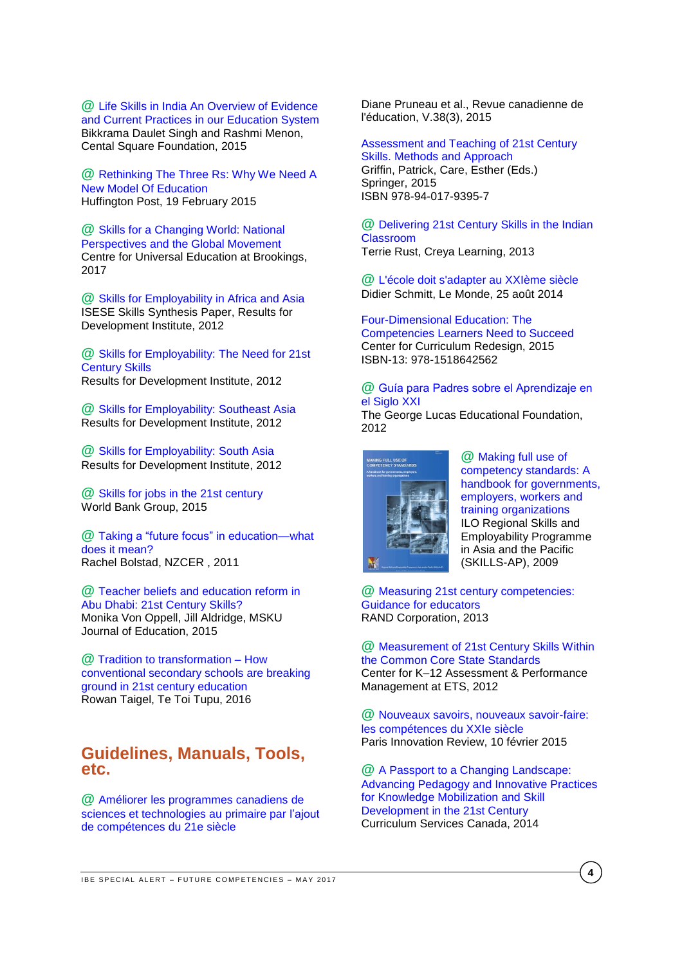**@** [Life Skills in India An Overview of Evidence](http://www.centralsquarefoundation.org/wp-content/uploads/2015/12/Life-Skills-Education-in-India.pdf)  [and Current Practices in our Education System](http://www.centralsquarefoundation.org/wp-content/uploads/2015/12/Life-Skills-Education-in-India.pdf) Bikkrama Daulet Singh and Rashmi Menon, Cental Square Foundation, 2015

**@** [Rethinking The Three Rs: Why We Need A](http://www.huffingtonpost.com/2015/01/23/stem-in-education_n_6519952.html?utm_hp_ref=impactx)  [New Model Of Education](http://www.huffingtonpost.com/2015/01/23/stem-in-education_n_6519952.html?utm_hp_ref=impactx) Huffington Post, 19 February 2015

**@** [Skills for a Changing World: National](https://www.brookings.edu/wp-content/uploads/2017/03/global-20170324-skills-for-a-changing-world.pdf)  [Perspectives and the Global Movement](https://www.brookings.edu/wp-content/uploads/2017/03/global-20170324-skills-for-a-changing-world.pdf) Centre for Universal Education at Brookings, 2017

**@** [Skills for Employability in Africa and Asia](http://www.resultsfordevelopment.org/sites/resultsfordevelopment.org/files/resources/ISESE%20Skills%20Synthesis_Final_0.pdf)  ISESE Skills Synthesis Paper, Results for Development Institute, 2012

**@** [Skills for Employability: The Need for 21st](http://www.resultsfordevelopment.org/sites/resultsfordevelopment.org/files/resources/Global%20Review%20of%20Skills%20for%20the%2021st%20Century.pdf)  [Century Skills](http://www.resultsfordevelopment.org/sites/resultsfordevelopment.org/files/resources/Global%20Review%20of%20Skills%20for%20the%2021st%20Century.pdf)  Results for Development Institute, 2012

**@** [Skills for Employability: Southeast Asia](http://www.resultsfordevelopment.org/sites/resultsfordevelopment.org/files/resources/Skills%20for%20Employability%20in%20Southeast%20Asia.pdf) Results for Development Institute, 2012

**@** [Skills for Employability: South Asia](http://www.resultsfordevelopment.org/sites/resultsfordevelopment.org/files/resources/Skills%20for%20Employability%20in%20South%20Asia.pdf) Results for Development Institute, 2012

**@** [Skills for jobs in the 21st century](http://documents.worldbank.org/curated/en/892121467986247777/pdf/98451-BRI-Education-WEF-English-briefs-skills-Box393171B-PUBLIC.pdf) World Bank Group, 2015

**@** Taking [a "future focus" in education—what](http://www.nzcer.org.nz/system/files/taking-future-focus-in-education.pdf)  [does it mean?](http://www.nzcer.org.nz/system/files/taking-future-focus-in-education.pdf)  Rachel Bolstad, NZCER , 2011

**@** [Teacher beliefs and education reform in](http://dergipark.ulakbim.gov.tr/muefd/article/view/5000157741)  [Abu Dhabi: 21st Century Skills?](http://dergipark.ulakbim.gov.tr/muefd/article/view/5000157741) Monika Von Oppell, Jill Aldridge, MSKU Journal of Education, 2015

**@** [Tradition to transformation –](http://elearning.tki.org.nz/Media/Files/Tradition-and-Transformation-How-conventional-secondary-school-are-breaking-ground-in-21st-century-education2) How [conventional secondary schools are breaking](http://elearning.tki.org.nz/Media/Files/Tradition-and-Transformation-How-conventional-secondary-school-are-breaking-ground-in-21st-century-education2)  [ground in 21st century education](http://elearning.tki.org.nz/Media/Files/Tradition-and-Transformation-How-conventional-secondary-school-are-breaking-ground-in-21st-century-education2) Rowan Taigel, Te Toi Tupu, 2016

# <span id="page-3-0"></span>**Guidelines, Manuals, Tools, etc.**

**@** [Améliorer les programmes canadiens de](https://www.google.ch/url?sa=t&rct=j&q=&esrc=s&source=web&cd=1&cad=rja&uact=8&ved=0ahUKEwiJ7_ebmJPUAhXObFAKHczuBksQFggoMAA&url=http%3A%2F%2Fjournals.sfu.ca%2Fcje%2Findex.php%2Fcje-rce%2Farticle%2Fdownload%2F1932%2F1775&usg=AFQjCNGwgbKwctvo53xiC7YT)  [sciences et technologies au primaire par l'ajout](https://www.google.ch/url?sa=t&rct=j&q=&esrc=s&source=web&cd=1&cad=rja&uact=8&ved=0ahUKEwiJ7_ebmJPUAhXObFAKHczuBksQFggoMAA&url=http%3A%2F%2Fjournals.sfu.ca%2Fcje%2Findex.php%2Fcje-rce%2Farticle%2Fdownload%2F1932%2F1775&usg=AFQjCNGwgbKwctvo53xiC7YT)  [de compétences du 21e siècle](https://www.google.ch/url?sa=t&rct=j&q=&esrc=s&source=web&cd=1&cad=rja&uact=8&ved=0ahUKEwiJ7_ebmJPUAhXObFAKHczuBksQFggoMAA&url=http%3A%2F%2Fjournals.sfu.ca%2Fcje%2Findex.php%2Fcje-rce%2Farticle%2Fdownload%2F1932%2F1775&usg=AFQjCNGwgbKwctvo53xiC7YT)

Diane Pruneau et al., Revue canadienne de l'éducation, V.38(3), 2015

[Assessment and Teaching of 21st Century](http://www.springer.com/de/book/9789401793940)  [Skills. Methods and Approach](http://www.springer.com/de/book/9789401793940) Griffin, Patrick, Care, Esther (Eds.) Springer, 2015 ISBN 978-94-017-9395-7

**@** [Delivering 21st Century Skills in the Indian](http://www.creyalearning.com/resources/Educast-AUGUST%202013_6_10.pdf)  [Classroom](http://www.creyalearning.com/resources/Educast-AUGUST%202013_6_10.pdf)

Terrie Rust, Creya Learning, 2013

**@** [L'école doit s'adapter au XXIème siècle](http://www.lemonde.fr/idees/article/2014/08/25/l-enseignement-vit-au-passe-anterieur-alors-que-le-futur-est-compose_4476435_3232.html) Didier Schmitt, Le Monde, 25 août 2014

[Four-Dimensional Education: The](http://curriculumredesign.org/our-work/four-dimensional-21st-century-education-learning-competencies-future-2030/)  [Competencies Learners Need to Succeed](http://curriculumredesign.org/our-work/four-dimensional-21st-century-education-learning-competencies-future-2030/) Center for Curriculum Redesign, 2015 ISBN-13: 978-1518642562

#### **@** [Guía para Padres sobre el Aprendizaje en](http://www.edutopia.org/pdfs/guides/edutopia-guia-para-padres-aprendizaje-siglo-21-espanol-para-imprimir.pdf)  [el Siglo XXI](http://www.edutopia.org/pdfs/guides/edutopia-guia-para-padres-aprendizaje-siglo-21-espanol-para-imprimir.pdf)

The George Lucas Educational Foundation, 2012



**@** [Making full use of](http://www.ilo.org/wcmsp5/groups/public/---asia/---ro-bangkok/documents/publication/wcms_112589.pdf)  [competency standards: A](http://www.ilo.org/wcmsp5/groups/public/---asia/---ro-bangkok/documents/publication/wcms_112589.pdf)  [handbook for governments,](http://www.ilo.org/wcmsp5/groups/public/---asia/---ro-bangkok/documents/publication/wcms_112589.pdf)  [employers, workers and](http://www.ilo.org/wcmsp5/groups/public/---asia/---ro-bangkok/documents/publication/wcms_112589.pdf)  [training organizations](http://www.ilo.org/wcmsp5/groups/public/---asia/---ro-bangkok/documents/publication/wcms_112589.pdf) ILO Regional Skills and Employability Programme in Asia and the Pacific (SKILLS-AP), 2009

**@** [Measuring 21st century competencies:](http://asiasociety.org/files/gcen-measuring21cskills.pdf)  [Guidance for educators](http://asiasociety.org/files/gcen-measuring21cskills.pdf) RAND Corporation, 2013

**@** [Measurement of 21st Century Skills Within](https://cerpp.usc.edu/files/2013/11/Kyllonen_21st_Cent_Skills_and_CCSS.pdf)  [the Common Core State Standards](https://cerpp.usc.edu/files/2013/11/Kyllonen_21st_Cent_Skills_and_CCSS.pdf) Center for K–12 Assessment & Performance Management at ETS, 2012

**@** [Nouveaux savoirs, nouveaux savoir-faire:](http://parisinnovationreview.com/2015/02/10/education-21-siecle/)  [les compétences du XXIe siècle](http://parisinnovationreview.com/2015/02/10/education-21-siecle/) [Paris Innovation Review,](http://parisinnovationreview.com/author/paristech-review/) 10 février 2015

**@** [A Passport to a Changing Landscape:](http://www.edugains.ca/resources21CL/Research/CSC_ResearchReport_2014-2015_old.pdf)  [Advancing Pedagogy and Innovative Practices](http://www.edugains.ca/resources21CL/Research/CSC_ResearchReport_2014-2015_old.pdf)  [for Knowledge Mobilization and Skill](http://www.edugains.ca/resources21CL/Research/CSC_ResearchReport_2014-2015_old.pdf)  [Development in the 21st Century](http://www.edugains.ca/resources21CL/Research/CSC_ResearchReport_2014-2015_old.pdf) Curriculum Services Canada, 2014

**4**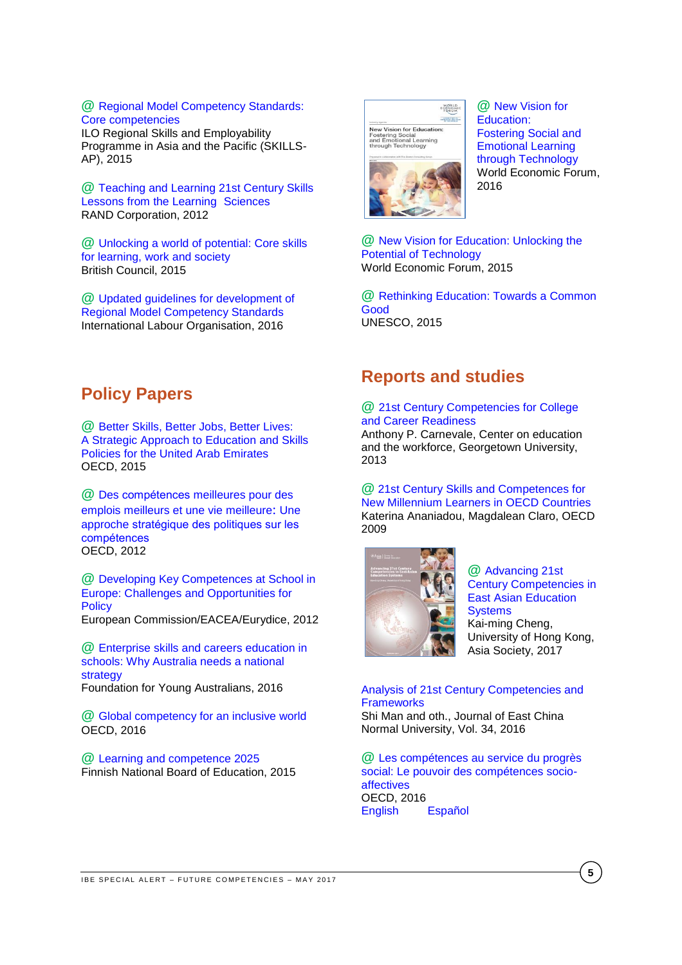#### **@** [Regional Model Competency Standards:](http://www.ilo.org/wcmsp5/groups/public/---asia/---ro-bangkok/documents/publication/wcms_420961.pdf)  [Core competencies](http://www.ilo.org/wcmsp5/groups/public/---asia/---ro-bangkok/documents/publication/wcms_420961.pdf)

ILO Regional Skills and Employability Programme in Asia and the Pacific (SKILLS-AP), 2015

**@** [Teaching and Learning 21st Century Skills](http://asiasociety.org/files/rand-1012report.pdf) [Lessons from the Learning](http://asiasociety.org/files/rand-1012report.pdf) Sciences RAND Corporation, 2012

**@** [Unlocking a world of potential: Core skills](https://schoolsonline.britishcouncil.org/sites/so/files/core_skills_brochure_unlocking_a_world_of_potential.pdf)  [for learning, work and society](https://schoolsonline.britishcouncil.org/sites/so/files/core_skills_brochure_unlocking_a_world_of_potential.pdf) British Council, 2015

**@** [Updated guidelines for development of](http://www.ilo.org/wcmsp5/groups/public/---asia/---ro-bangkok/documents/publication/wcms_496514.pdf)  [Regional Model Competency Standards](http://www.ilo.org/wcmsp5/groups/public/---asia/---ro-bangkok/documents/publication/wcms_496514.pdf) International Labour Organisation, 2016

# <span id="page-4-0"></span>**Policy Papers**

**@** [Better Skills, Better Jobs, Better Lives:](http://www.oecd.org/countries/unitedarabemirates/A-Strategic-Approach-to-Education-and%20Skills-Policies-for-the-United-Arab-Emirates.pdf) [A Strategic Approach to Education and Skills](http://www.oecd.org/countries/unitedarabemirates/A-Strategic-Approach-to-Education-and%20Skills-Policies-for-the-United-Arab-Emirates.pdf)  [Policies for the United Arab Emirates](http://www.oecd.org/countries/unitedarabemirates/A-Strategic-Approach-to-Education-and%20Skills-Policies-for-the-United-Arab-Emirates.pdf)  OECD, 2015

**@** Des compétences [meilleures pour des](http://www.skillsforemployment.org/wcmstest4/groups/skills/documents/skpcontent/ddrf/mduw/~edisp/wcmstest4_050445.pdf)  [emplois meilleurs et une vie meilleure](http://www.skillsforemployment.org/wcmstest4/groups/skills/documents/skpcontent/ddrf/mduw/~edisp/wcmstest4_050445.pdf): Une approche [stratégique des politiques sur les](http://www.skillsforemployment.org/wcmstest4/groups/skills/documents/skpcontent/ddrf/mduw/~edisp/wcmstest4_050445.pdf)  [compétences](http://www.skillsforemployment.org/wcmstest4/groups/skills/documents/skpcontent/ddrf/mduw/~edisp/wcmstest4_050445.pdf)  OECD, 2012

**@** [Developing Key Competences at School in](http://eacea.ec.europa.eu/education/eurydice/documents/thematic_reports/145en.pdf)  [Europe: Challenges and Opportunities for](http://eacea.ec.europa.eu/education/eurydice/documents/thematic_reports/145en.pdf)  **[Policy](http://eacea.ec.europa.eu/education/eurydice/documents/thematic_reports/145en.pdf)** European Commission/EACEA/Eurydice, 2012

**@** [Enterprise skills and careers education in](https://www.fya.org.au/wp-content/uploads/2015/11/Enterprise-skills-and-careers-education-why-Australia-needs-a-national-strategy_April2016.pdf)  schools: [Why Australia needs a national](https://www.fya.org.au/wp-content/uploads/2015/11/Enterprise-skills-and-careers-education-why-Australia-needs-a-national-strategy_April2016.pdf)  [strategy](https://www.fya.org.au/wp-content/uploads/2015/11/Enterprise-skills-and-careers-education-why-Australia-needs-a-national-strategy_April2016.pdf) Foundation for Young Australians, 2016

**@** [Global competency for an inclusive world](https://www.oecd.org/education/Global-competency-for-an-inclusive-world.pdf) OECD, 2016

**@** [Learning and competence 2025](http://www.oph.fi/download/164907_learning_and_competence_2025_finnish_national_board_of_education.pdf) Finnish National Board of Education, 2015



**@** [New Vision for](http://www3.weforum.org/docs/WEF_New_Vision_for_Education.pdf)  [Education:](http://www3.weforum.org/docs/WEF_New_Vision_for_Education.pdf)  [Fostering Social and](http://www3.weforum.org/docs/WEF_New_Vision_for_Education.pdf)  [Emotional Learning](http://www3.weforum.org/docs/WEF_New_Vision_for_Education.pdf)  [through Technology](http://www3.weforum.org/docs/WEF_New_Vision_for_Education.pdf)  World Economic Forum, 2016

**@** [New Vision for Education: Unlocking the](http://www3.weforum.org/docs/WEFUSA_NewVisionforEducation_Report2015.pdf)  [Potential of Technology](http://www3.weforum.org/docs/WEFUSA_NewVisionforEducation_Report2015.pdf) World Economic Forum, 2015

**@** [Rethinking Education: Towards a Common](http://www.unesco.org/fileadmin/MULTIMEDIA/FIELD/Cairo/images/RethinkingEducation.pdf)  [Good](http://www.unesco.org/fileadmin/MULTIMEDIA/FIELD/Cairo/images/RethinkingEducation.pdf) UNESCO, 2015

# <span id="page-4-1"></span>**Reports and studies**

# **@** [21st Century Competencies for College](http://www.oce.uqam.ca/wp-content/uploads/2015/01/1312_cd_21stcenturycompetencies.pdf)  [and Career Readiness](http://www.oce.uqam.ca/wp-content/uploads/2015/01/1312_cd_21stcenturycompetencies.pdf)

Anthony P. Carnevale, Center on education and the workforce, Georgetown University, 2013

**@** [21st Century Skills and Competences for](http://www.oecd-ilibrary.org/docserver/download/218525261154.pdf?expires=1494494670&id=id&accname=guest&checksum=992104F55466F78587C2C215D28BB913)  [New Millennium Learners in OECD Countries](http://www.oecd-ilibrary.org/docserver/download/218525261154.pdf?expires=1494494670&id=id&accname=guest&checksum=992104F55466F78587C2C215D28BB913) Katerina Ananiadou, Magdalean Claro, OECD 2009



**@** [Advancing 21st](http://asiasociety.org/files/21st-century-competencies-east-asian-education-systems.pdf)  [Century Competencies in](http://asiasociety.org/files/21st-century-competencies-east-asian-education-systems.pdf)  [East Asian Education](http://asiasociety.org/files/21st-century-competencies-east-asian-education-systems.pdf)  **[Systems](http://asiasociety.org/files/21st-century-competencies-east-asian-education-systems.pdf)** Kai-ming Cheng, University of Hong Kong, Asia Society, 2017

[Analysis of 21st Century Competencies and](http://xbjk.ecnu.edu.cn/EN/abstract/abstract8966.shtml)  **[Frameworks](http://xbjk.ecnu.edu.cn/EN/abstract/abstract8966.shtml)** Shi Man and oth., Journal of East China

Normal University, Vol. 34, 2016

**@** [Les compétences au service du progrès](http://www.oecd-ilibrary.org/docserver/download/9615012e.pdf?expires=1494494860&id=id&accname=guest&checksum=D4905943F96845ADA79C045FEC9CAF25)  [social: Le pouvoir des compétences socio](http://www.oecd-ilibrary.org/docserver/download/9615012e.pdf?expires=1494494860&id=id&accname=guest&checksum=D4905943F96845ADA79C045FEC9CAF25)[affectives](http://www.oecd-ilibrary.org/docserver/download/9615012e.pdf?expires=1494494860&id=id&accname=guest&checksum=D4905943F96845ADA79C045FEC9CAF25) OECD, 2016 [English](http://www.oecd-ilibrary.org/docserver/download/9615011e.pdf?expires=1494494894&id=id&accname=guest&checksum=0B2ED4B778A4E825A3C6A2243EE9FC86) [Español](http://www.oecd-ilibrary.org/docserver/download/9615014e.pdf?expires=1494494927&id=id&accname=guest&checksum=DE6B31EF0E693749A9CC4EA001EA7934)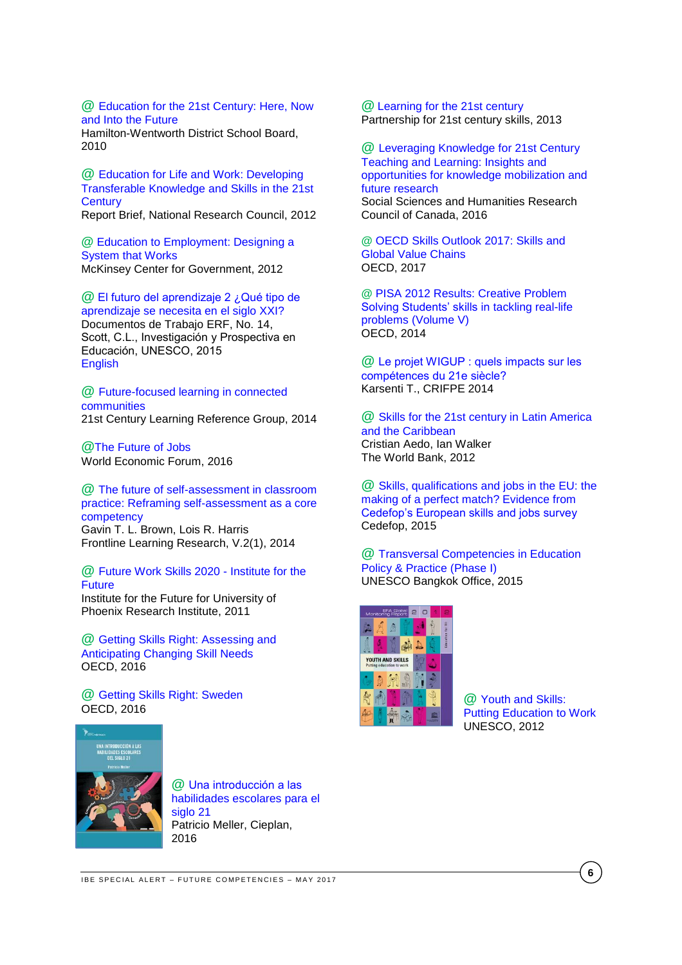**@** [Education for the 21st Century: Here, Now](http://www.pucrs.br/famat/viali/tic_literatura/relatorios/Full-Report.pdf)  [and Into the Future](http://www.pucrs.br/famat/viali/tic_literatura/relatorios/Full-Report.pdf)

Hamilton-Wentworth District School Board, 2010

**@** [Education for Life and Work:](http://sites.nationalacademies.org/cs/groups/dbassesite/documents/webpage/dbasse_070895.pdf) Developing [Transferable Knowledge and Skills in the 21st](http://sites.nationalacademies.org/cs/groups/dbassesite/documents/webpage/dbasse_070895.pdf)  **[Century](http://sites.nationalacademies.org/cs/groups/dbassesite/documents/webpage/dbasse_070895.pdf)** 

Report Brief, National Research Council, 2012

**@** [Education to Employment: Designing a](http://mckinseyonsociety.com/downloads/reports/Education/Education-to-Employment_FINAL.pdf)  [System that Works](http://mckinseyonsociety.com/downloads/reports/Education/Education-to-Employment_FINAL.pdf) McKinsey Center for Government, 2012

**@** [El futuro del aprendizaje 2 ¿Qué tipo de](http://unesdoc.unesco.org/images/0024/002429/242996s.pdf)  [aprendizaje se necesita en el siglo XXI?](http://unesdoc.unesco.org/images/0024/002429/242996s.pdf) Documentos de Trabajo ERF, No. 14, Scott, C.L., Investigación y Prospectiva en Educación, UNESCO, 2015 [English](http://unesdoc.unesco.org/images/0024/002429/242996E.pdf)

# **@** [Future-focused learning in connected](https://education.govt.nz/assets/Documents/Ministry/Initiatives/FutureFocusedLearning30May2014.pdf)  [communities](https://education.govt.nz/assets/Documents/Ministry/Initiatives/FutureFocusedLearning30May2014.pdf)

21st Century Learning Reference Group, 2014

**@**[The Future of Jobs](http://www3.weforum.org/docs/WEF_Future_of_Jobs.pdf) World Economic Forum, 2016

**@** [The future of self-assessment in classroom](http://files.eric.ed.gov/fulltext/EJ1090831.pdf)  [practice: Reframing self-assessment as a core](http://files.eric.ed.gov/fulltext/EJ1090831.pdf)  [competency](http://files.eric.ed.gov/fulltext/EJ1090831.pdf)

Gavin T. L. Brown, Lois R. Harris Frontline Learning Research, V.2(1), 2014

**@** [Future Work Skills 2020 -](http://www.iftf.org/uploads/media/SR-1382A_UPRI_future_work_skills_sm.pdf) Institute for the [Future](http://www.iftf.org/uploads/media/SR-1382A_UPRI_future_work_skills_sm.pdf)

Institute for the Future for University of Phoenix Research Institute, 2011

**@** Getting Skills Right: [Assessing](http://www.oecd-ilibrary.org/employment/getting-skills-right-assessing-and-anticipating-changing-skill-needs_9789264252073-en) and [Anticipating](http://www.oecd-ilibrary.org/employment/getting-skills-right-assessing-and-anticipating-changing-skill-needs_9789264252073-en) Changing Skill Needs OECD, 2016

**@** [Getting Skills Right: Sweden](http://www.oecd-ilibrary.org/employment/getting-skills-right-sweden_9789264265479-en) OECD, 2016



**@** [Una introducción a las](http://escuelaenmovimiento.educarchile.cl/wp-content/themes/Divi/images/PAPER-MELLER-HABILIDADES-S21-0616.pdf)  [habilidades escolares para el](http://escuelaenmovimiento.educarchile.cl/wp-content/themes/Divi/images/PAPER-MELLER-HABILIDADES-S21-0616.pdf)  [siglo 21](http://escuelaenmovimiento.educarchile.cl/wp-content/themes/Divi/images/PAPER-MELLER-HABILIDADES-S21-0616.pdf) Patricio Meller, Cieplan, 2016

**@** [Learning for the 21st century](http://www.p21.org/storage/documents/P21_Report.pdf) Partnership for 21st century skills, 2013

**@** Leveraging [Knowledge for 21st Century](http://www.sshrc-crsh.gc.ca/society-societe/community-communite/ifca-iac/01-learning_report-apprentissage_rapport-eng.pdf)  [Teaching and Learning: Insights and](http://www.sshrc-crsh.gc.ca/society-societe/community-communite/ifca-iac/01-learning_report-apprentissage_rapport-eng.pdf)  [opportunities for knowledge mobilization and](http://www.sshrc-crsh.gc.ca/society-societe/community-communite/ifca-iac/01-learning_report-apprentissage_rapport-eng.pdf)  [future research](http://www.sshrc-crsh.gc.ca/society-societe/community-communite/ifca-iac/01-learning_report-apprentissage_rapport-eng.pdf) Social Sciences and Humanities Research Council of Canada, 2016

**@** [OECD Skills Outlook 2017: Skills and](http://www.oecd-ilibrary.org/education/oecd-skills-outlook-2017_9789264273351-en)  [Global Value Chains](http://www.oecd-ilibrary.org/education/oecd-skills-outlook-2017_9789264273351-en) OECD, 2017

**@** [PISA 2012 Results: Creative Problem](http://www.oecd.org/pisa/keyfindings/PISA-2012-results-volume-V.pdf)  [Solving Students' skills in tackling real-life](http://www.oecd.org/pisa/keyfindings/PISA-2012-results-volume-V.pdf)  [problems \(Volume V\)](http://www.oecd.org/pisa/keyfindings/PISA-2012-results-volume-V.pdf) OECD, 2014

**@** [Le projet WIGUP : quels impacts sur les](http://www.karsenti.ca/RapportWIGUP_KARSENTI.pdf)  [compétences du 21e siècle?](http://www.karsenti.ca/RapportWIGUP_KARSENTI.pdf) Karsenti T., CRIFPE 2014

**@** [Skills for the 21st century in Latin America](http://documents.worldbank.org/curated/en/187841468047799960/pdf/665190PUB0EPI00skills09780821389713.pdf)  [and the Caribbean](http://documents.worldbank.org/curated/en/187841468047799960/pdf/665190PUB0EPI00skills09780821389713.pdf) Cristian Aedo, Ian Walker The World Bank, 2012

**@** [Skills, qualifications and jobs in the EU: the](http://www.cedefop.europa.eu/en/publications-and-resources/publications/3072)  [making of a perfect match? Evidence from](http://www.cedefop.europa.eu/en/publications-and-resources/publications/3072)  [Cedefop's European skills and jobs survey](http://www.cedefop.europa.eu/en/publications-and-resources/publications/3072) Cedefop, 2015

**@** [Transversal Competencies in Education](http://unesdoc.unesco.org/images/0023/002319/231907E.pdf)  [Policy & Practice \(Phase I\)](http://unesdoc.unesco.org/images/0023/002319/231907E.pdf) UNESCO Bangkok Office, 2015



**@** [Youth and](http://unesdoc.unesco.org/images/0021/002180/218003e.pdf) Skills: [Putting Education to Work](http://unesdoc.unesco.org/images/0021/002180/218003e.pdf) UNESCO, 2012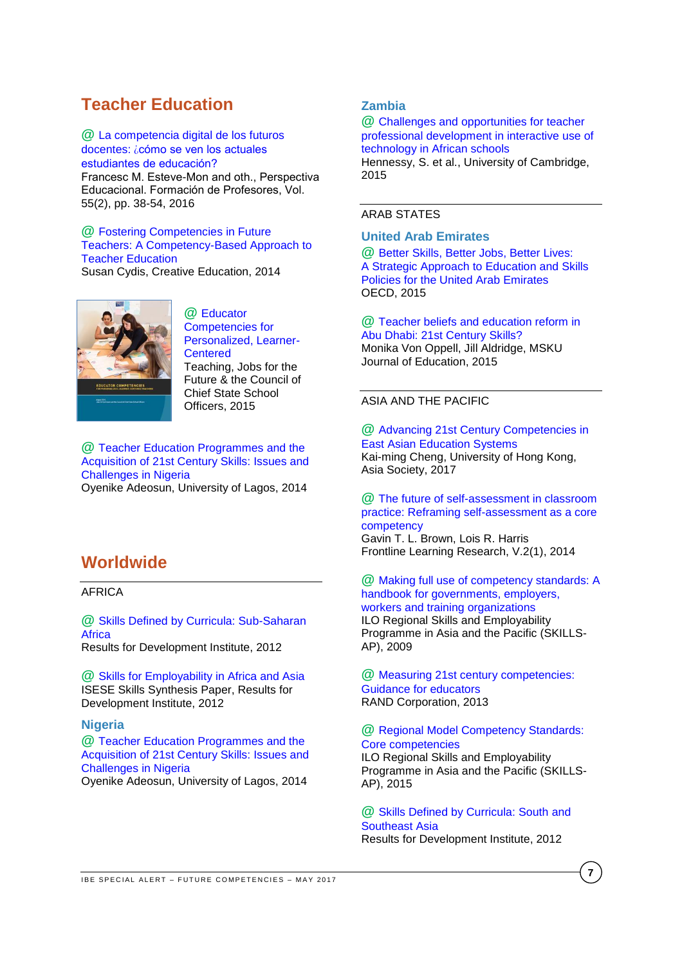# <span id="page-6-0"></span>**Teacher Education**

**@** [La competencia digital de los futuros](http://www.perspectivaeducacional.cl/index.php/peducacional/article/viewFile/412/207)  docentes: ¿cómo [se ven los actuales](http://www.perspectivaeducacional.cl/index.php/peducacional/article/viewFile/412/207)  [estudiantes de educación?](http://www.perspectivaeducacional.cl/index.php/peducacional/article/viewFile/412/207) 

Francesc M. Esteve-Mon and oth., Perspectiva Educacional. Formación de Profesores, Vol. 55(2), pp. 38-54, 2016

# **@** [Fostering Competencies in Future](http://file.scirp.org/pdf/CE_2014071411111144.pdf)  [Teachers: A Competency-Based Approach to](http://file.scirp.org/pdf/CE_2014071411111144.pdf)  [Teacher Education](http://file.scirp.org/pdf/CE_2014071411111144.pdf)

Susan Cydis, Creative Education, 2014



**@** [Educator](http://www.ccsso.org/Documents/Educator-Competencies-081015-FINAL.pdf)  [Competencies for](http://www.ccsso.org/Documents/Educator-Competencies-081015-FINAL.pdf)  [Personalized, Learner-](http://www.ccsso.org/Documents/Educator-Competencies-081015-FINAL.pdf)**[Centered](http://www.ccsso.org/Documents/Educator-Competencies-081015-FINAL.pdf)** Teaching, Jobs for the Future & the Council of Chief State School Officers, 2015

# **@** [Teacher Education Programmes](http://home.hiroshima-u.ac.jp/cice/wp-content/uploads/2014/03/4-2-91.pdf) and the [Acquisition of 21st Century Skills: Issues and](http://home.hiroshima-u.ac.jp/cice/wp-content/uploads/2014/03/4-2-91.pdf)  [Challenges in Nigeria](http://home.hiroshima-u.ac.jp/cice/wp-content/uploads/2014/03/4-2-91.pdf)

Oyenike Adeosun, University of Lagos, 2014

# <span id="page-6-1"></span>**Worldwide**

<span id="page-6-2"></span>AFRICA

**@** [Skills Defined by Curricula: Sub-Saharan](http://www.resultsfordevelopment.org/sites/resultsfordevelopment.org/files/resources/Skills%20Defined%20by%20Curricula%20in%20Sub-Saharan%20Africa.pdf)  **[Africa](http://www.resultsfordevelopment.org/sites/resultsfordevelopment.org/files/resources/Skills%20Defined%20by%20Curricula%20in%20Sub-Saharan%20Africa.pdf)** 

Results for Development Institute, 2012

**@** [Skills for Employability in Africa and Asia](http://www.resultsfordevelopment.org/sites/resultsfordevelopment.org/files/resources/ISESE%20Skills%20Synthesis_Final_0.pdf)  ISESE Skills Synthesis Paper, Results for Development Institute, 2012

# <span id="page-6-3"></span>**Nigeria**

**@** [Teacher Education Programmes and the](http://home.hiroshima-u.ac.jp/cice/wp-content/uploads/2014/03/4-2-91.pdf)  [Acquisition of 21st Century Skills: Issues and](http://home.hiroshima-u.ac.jp/cice/wp-content/uploads/2014/03/4-2-91.pdf)  [Challenges in Nigeria](http://home.hiroshima-u.ac.jp/cice/wp-content/uploads/2014/03/4-2-91.pdf) Oyenike Adeosun, University of Lagos, 2014

# <span id="page-6-4"></span>**Zambia**

**@** [Challenges and opportunities for teacher](https://www.researchgate.net/profile/Sara_Hennessy/publication/280527718_Challenges_and_opportunities_for_teacher_professional_development_in_interactive_use_of_technology_in_African_schools/links/55b763ba08ae9289a08be3bf/Challenges-and-opportunities-for-teacher-professional-development-in-interactive-use-of-technology-in-African-schools.pdf)  [professional development in interactive use of](https://www.researchgate.net/profile/Sara_Hennessy/publication/280527718_Challenges_and_opportunities_for_teacher_professional_development_in_interactive_use_of_technology_in_African_schools/links/55b763ba08ae9289a08be3bf/Challenges-and-opportunities-for-teacher-professional-development-in-interactive-use-of-technology-in-African-schools.pdf)  [technology in African schools](https://www.researchgate.net/profile/Sara_Hennessy/publication/280527718_Challenges_and_opportunities_for_teacher_professional_development_in_interactive_use_of_technology_in_African_schools/links/55b763ba08ae9289a08be3bf/Challenges-and-opportunities-for-teacher-professional-development-in-interactive-use-of-technology-in-African-schools.pdf) Hennessy, S. et al., University of Cambridge, 2015

# <span id="page-6-5"></span>ARAB STATES

# <span id="page-6-6"></span>**United Arab Emirates**

**@** [Better Skills, Better Jobs, Better Lives:](http://www.oecd.org/countries/unitedarabemirates/A-Strategic-Approach-to-Education-and%20Skills-Policies-for-the-United-Arab-Emirates.pdf) [A Strategic Approach to Education and Skills](http://www.oecd.org/countries/unitedarabemirates/A-Strategic-Approach-to-Education-and%20Skills-Policies-for-the-United-Arab-Emirates.pdf)  [Policies for the United Arab Emirates](http://www.oecd.org/countries/unitedarabemirates/A-Strategic-Approach-to-Education-and%20Skills-Policies-for-the-United-Arab-Emirates.pdf)  OECD, 2015

**@** [Teacher beliefs and education reform in](http://dergipark.ulakbim.gov.tr/muefd/article/view/5000157741)  [Abu Dhabi: 21st Century Skills?](http://dergipark.ulakbim.gov.tr/muefd/article/view/5000157741) Monika Von Oppell, Jill Aldridge, MSKU Journal of Education, 2015

# <span id="page-6-7"></span>ASIA AND THE PACIFIC

**@** [Advancing 21st Century Competencies in](http://asiasociety.org/files/21st-century-competencies-east-asian-education-systems.pdf)  [East Asian Education Systems](http://asiasociety.org/files/21st-century-competencies-east-asian-education-systems.pdf) Kai-ming Cheng, University of Hong Kong, Asia Society, 2017

**@** [The future of self-assessment in classroom](http://files.eric.ed.gov/fulltext/EJ1090831.pdf)  [practice: Reframing self-assessment as a core](http://files.eric.ed.gov/fulltext/EJ1090831.pdf)  [competency](http://files.eric.ed.gov/fulltext/EJ1090831.pdf) Gavin T. L. Brown, Lois R. Harris Frontline Learning Research, V.2(1), 2014

**@** [Making full use of competency standards: A](http://www.ilo.org/wcmsp5/groups/public/---asia/---ro-bangkok/documents/publication/wcms_112589.pdf)  [handbook for governments, employers,](http://www.ilo.org/wcmsp5/groups/public/---asia/---ro-bangkok/documents/publication/wcms_112589.pdf)  [workers and training organizations](http://www.ilo.org/wcmsp5/groups/public/---asia/---ro-bangkok/documents/publication/wcms_112589.pdf) ILO Regional Skills and Employability Programme in Asia and the Pacific (SKILLS-AP), 2009

**@** [Measuring 21st century competencies:](http://asiasociety.org/files/gcen-measuring21cskills.pdf)  [Guidance for educators](http://asiasociety.org/files/gcen-measuring21cskills.pdf) RAND Corporation, 2013

# **@** [Regional Model Competency Standards:](http://www.ilo.org/wcmsp5/groups/public/---asia/---ro-bangkok/documents/publication/wcms_420961.pdf)  [Core competencies](http://www.ilo.org/wcmsp5/groups/public/---asia/---ro-bangkok/documents/publication/wcms_420961.pdf)

ILO Regional Skills and Employability Programme in Asia and the Pacific (SKILLS-AP), 2015

**@** [Skills Defined by Curricula: South and](http://www.resultsfordevelopment.org/sites/resultsfordevelopment.org/files/resources/Skills%20Defined%20by%20Curricula%20in%20South%20and%20Southeast%20Asia.pdf)  [Southeast Asia](http://www.resultsfordevelopment.org/sites/resultsfordevelopment.org/files/resources/Skills%20Defined%20by%20Curricula%20in%20South%20and%20Southeast%20Asia.pdf) Results for Development Institute, 2012

**7**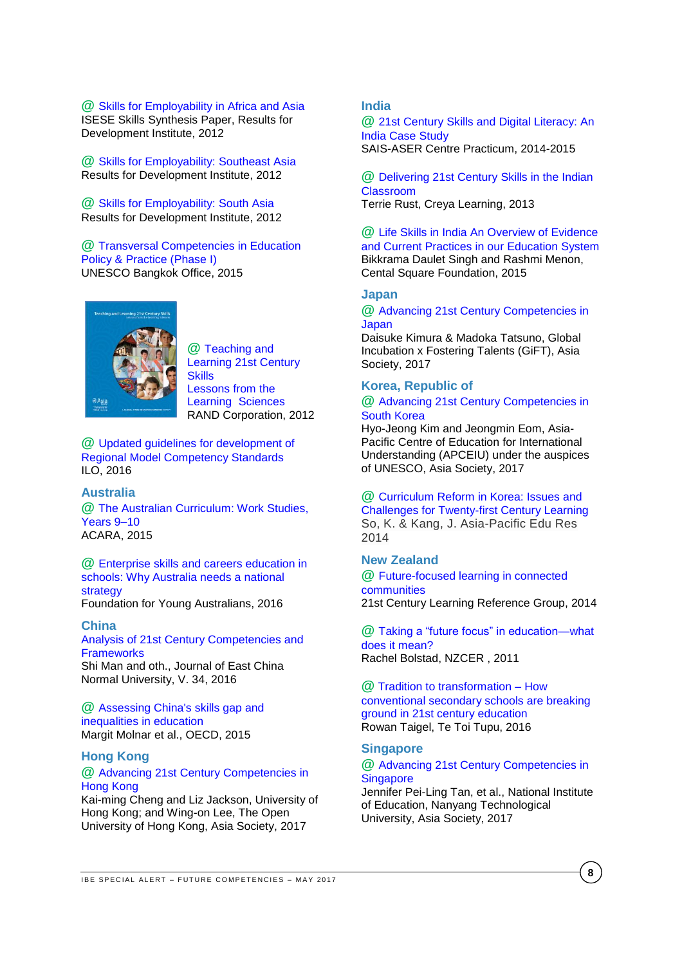#### **@** [Skills for Employability in Africa and Asia](http://www.resultsfordevelopment.org/sites/resultsfordevelopment.org/files/resources/ISESE%20Skills%20Synthesis_Final_0.pdf)  ISESE Skills Synthesis Paper, Results for Development Institute, 2012

**@** [Skills for Employability: Southeast Asia](http://www.resultsfordevelopment.org/sites/resultsfordevelopment.org/files/resources/Skills%20for%20Employability%20in%20Southeast%20Asia.pdf) Results for Development Institute, 2012

**@** [Skills for Employability: South Asia](http://www.resultsfordevelopment.org/sites/resultsfordevelopment.org/files/resources/Skills%20for%20Employability%20in%20South%20Asia.pdf) Results for Development Institute, 2012

#### **@** [Transversal Competencies in Education](http://unesdoc.unesco.org/images/0023/002319/231907E.pdf)  [Policy & Practice \(Phase I\)](http://unesdoc.unesco.org/images/0023/002319/231907E.pdf) UNESCO Bangkok Office, 2015



**@** [Teaching and](http://asiasociety.org/files/rand-1012report.pdf)  [Learning 21st Century](http://asiasociety.org/files/rand-1012report.pdf)  **[Skills](http://asiasociety.org/files/rand-1012report.pdf)** [Lessons from the](http://asiasociety.org/files/rand-1012report.pdf)  Learning [Sciences](http://asiasociety.org/files/rand-1012report.pdf) RAND Corporation, 2012

**@** [Updated guidelines for development of](http://www.ilo.org/wcmsp5/groups/public/---asia/---ro-bangkok/documents/publication/wcms_496514.pdf)  [Regional Model Competency Standards](http://www.ilo.org/wcmsp5/groups/public/---asia/---ro-bangkok/documents/publication/wcms_496514.pdf) ILO, 2016

# <span id="page-7-0"></span>**Australia**

**@** [The Australian Curriculum: Work Studies,](http://www.australiancurriculum.edu.au/work-studies/introduction)  [Years 9–10](http://www.australiancurriculum.edu.au/work-studies/introduction) ACARA, 2015

**@** [Enterprise skills and careers education in](https://www.fya.org.au/wp-content/uploads/2015/11/Enterprise-skills-and-careers-education-why-Australia-needs-a-national-strategy_April2016.pdf)  [schools: Why Australia needs a national](https://www.fya.org.au/wp-content/uploads/2015/11/Enterprise-skills-and-careers-education-why-Australia-needs-a-national-strategy_April2016.pdf)  [strategy](https://www.fya.org.au/wp-content/uploads/2015/11/Enterprise-skills-and-careers-education-why-Australia-needs-a-national-strategy_April2016.pdf) Foundation for Young Australians, 2016

#### <span id="page-7-1"></span>**China**

[Analysis of 21st Century Competencies and](http://xbjk.ecnu.edu.cn/EN/abstract/abstract8966.shtml)  **[Frameworks](http://xbjk.ecnu.edu.cn/EN/abstract/abstract8966.shtml)** Shi Man and oth., Journal of East China Normal University, V. 34, 2016

**@** [Assessing China's skills gap and](http://www.oecd-ilibrary.org/economics/assessing-china-s-skills-gap-and-inequalities-in-education_5js1j1805czs-en)  [inequalities in education](http://www.oecd-ilibrary.org/economics/assessing-china-s-skills-gap-and-inequalities-in-education_5js1j1805czs-en) Margit Molnar et al., OECD, 2015

#### <span id="page-7-2"></span>**Hong Kong**

# **@** [Advancing 21st Century Competencies in](http://asiasociety.org/files/21st-century-competencies-hong-kong.pdf)  [Hong Kong](http://asiasociety.org/files/21st-century-competencies-hong-kong.pdf)

Kai-ming Cheng and Liz Jackson, University of Hong Kong; and Wing-on Lee, The Open University of Hong Kong, Asia Society, 2017

# <span id="page-7-3"></span>**India**

**@** [21st Century Skills and Digital Literacy: An](http://www.sais-jhu.edu/sites/default/files/Publishable%20ASER%20Deliverables.pdf)  [India Case Study](http://www.sais-jhu.edu/sites/default/files/Publishable%20ASER%20Deliverables.pdf)  SAIS-ASER Centre Practicum, 2014-2015

**@** [Delivering 21st Century Skills in the Indian](http://www.creyalearning.com/resources/Educast-AUGUST%202013_6_10.pdf)  [Classroom](http://www.creyalearning.com/resources/Educast-AUGUST%202013_6_10.pdf) Terrie Rust, Creya Learning, 2013

**@** [Life Skills in India An Overview of Evidence](http://www.centralsquarefoundation.org/wp-content/uploads/2015/12/Life-Skills-Education-in-India.pdf)  [and Current Practices in our Education System](http://www.centralsquarefoundation.org/wp-content/uploads/2015/12/Life-Skills-Education-in-India.pdf) Bikkrama Daulet Singh and Rashmi Menon, Cental Square Foundation, 2015

# <span id="page-7-4"></span>**Japan**

**@** [Advancing 21st Century Competencies in](http://asiasociety.org/files/21st-century-competencies-japan.pdf)  **[Japan](http://asiasociety.org/files/21st-century-competencies-japan.pdf)** 

Daisuke Kimura & Madoka Tatsuno, Global Incubation x Fostering Talents (GiFT), Asia Society, 2017

# <span id="page-7-5"></span>**Korea, Republic of @** [Advancing 21st Century Competencies in](http://asiasociety.org/files/21st-century-competencies-south-korea.pdf)  [South Korea](http://asiasociety.org/files/21st-century-competencies-south-korea.pdf)

Hyo-Jeong Kim and Jeongmin Eom, Asia-Pacific Centre of Education for International Understanding (APCEIU) under the auspices of UNESCO, Asia Society, 2017

**@** [Curriculum Reform in Korea: Issues and](https://rd.springer.com/article/10.1007/s40299-013-0161-2)  [Challenges for Twenty-first Century Learning](https://rd.springer.com/article/10.1007/s40299-013-0161-2) So, K. & Kang, J. Asia-Pacific Edu Res 2014

# <span id="page-7-6"></span>**New Zealand**

**@** [Future-focused learning in connected](https://education.govt.nz/assets/Documents/Ministry/Initiatives/FutureFocusedLearning30May2014.pdf)  [communities](https://education.govt.nz/assets/Documents/Ministry/Initiatives/FutureFocusedLearning30May2014.pdf) 21st Century Learning Reference Group, 2014

**@** Taking [a "future focus" in education—what](http://www.nzcer.org.nz/system/files/taking-future-focus-in-education.pdf)  [does it mean?](http://www.nzcer.org.nz/system/files/taking-future-focus-in-education.pdf)  Rachel Bolstad, NZCER , 2011

**@** [Tradition to transformation –](http://elearning.tki.org.nz/Media/Files/Tradition-and-Transformation-How-conventional-secondary-school-are-breaking-ground-in-21st-century-education2) How [conventional secondary schools are breaking](http://elearning.tki.org.nz/Media/Files/Tradition-and-Transformation-How-conventional-secondary-school-are-breaking-ground-in-21st-century-education2)  [ground in 21st century education](http://elearning.tki.org.nz/Media/Files/Tradition-and-Transformation-How-conventional-secondary-school-are-breaking-ground-in-21st-century-education2) Rowan Taigel, Te Toi Tupu, 2016

# <span id="page-7-7"></span>**Singapore**

## **@** [Advancing 21st Century Competencies in](http://asiasociety.org/files/21st-century-competencies-singapore.pdf)  **[Singapore](http://asiasociety.org/files/21st-century-competencies-singapore.pdf)**

Jennifer Pei-Ling Tan, et al., National Institute of Education, Nanyang Technological University, Asia Society, 2017

**8**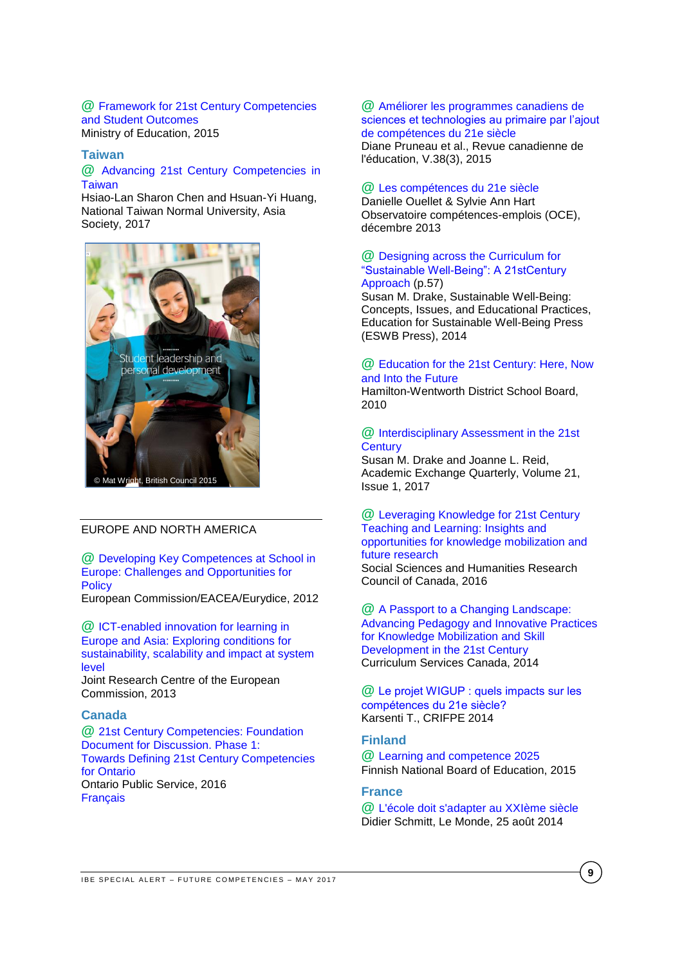#### **@** [Framework for 21st Century Competencies](https://www.moe.gov.sg/education/education-system/21st-century-competencies)  [and Student Outcomes](https://www.moe.gov.sg/education/education-system/21st-century-competencies) Ministry of Education, 2015

#### <span id="page-8-0"></span>**Taiwan**

# **@** [Advancing 21st Century Competencies in](http://asiasociety.org/files/21st-century-competencies-taiwan.pdf)  **[Taiwan](http://asiasociety.org/files/21st-century-competencies-taiwan.pdf)**

Hsiao-Lan Sharon Chen and Hsuan-Yi Huang, National Taiwan Normal University, Asia Society, 2017



# <span id="page-8-1"></span>EUROPE AND NORTH AMERICA

**@** [Developing Key Competences at School in](http://eacea.ec.europa.eu/education/eurydice/documents/thematic_reports/145en.pdf)  [Europe: Challenges and Opportunities for](http://eacea.ec.europa.eu/education/eurydice/documents/thematic_reports/145en.pdf)  **[Policy](http://eacea.ec.europa.eu/education/eurydice/documents/thematic_reports/145en.pdf)** 

European Commission/EACEA/Eurydice, 2012

**@** [ICT-enabled innovation for learning in](http://ftp.jrc.es/EURdoc/JRC83503.pdf)  [Europe and Asia: Exploring conditions for](http://ftp.jrc.es/EURdoc/JRC83503.pdf)  [sustainability, scalability and impact at system](http://ftp.jrc.es/EURdoc/JRC83503.pdf)  [level](http://ftp.jrc.es/EURdoc/JRC83503.pdf)

Joint Research Centre of the European Commission, 2013

# <span id="page-8-2"></span>**Canada**

**@** [21st Century Competencies: Foundation](http://www.edugains.ca/resources21CL/About21stCentury/21CL_21stCenturyCompetencies.pdf)  [Document for Discussion. Phase 1:](http://www.edugains.ca/resources21CL/About21stCentury/21CL_21stCenturyCompetencies.pdf)  [Towards Defining 21st Century Competencies](http://www.edugains.ca/resources21CL/About21stCentury/21CL_21stCenturyCompetencies.pdf)  [for Ontario](http://www.edugains.ca/resources21CL/About21stCentury/21CL_21stCenturyCompetencies.pdf)  Ontario Public Service, 2016 [Français](https://pedagogienumeriqueenaction.cforp.ca/wp-content/uploads/2016/03/Definir-les-competences-du-21e-siecle-pour-l_Ontario-Document-de-reflexion-phase-1-2016.pdf)

# **@** [Améliorer les programmes canadiens de](https://www.google.ch/url?sa=t&rct=j&q=&esrc=s&source=web&cd=1&cad=rja&uact=8&ved=0ahUKEwiJ7_ebmJPUAhXObFAKHczuBksQFggoMAA&url=http%3A%2F%2Fjournals.sfu.ca%2Fcje%2Findex.php%2Fcje-rce%2Farticle%2Fdownload%2F1932%2F1775&usg=AFQjCNGwgbKwctvo53xiC7YT)  sciences et technologies au primaire par l'ajout [de compétences du 21e siècle](https://www.google.ch/url?sa=t&rct=j&q=&esrc=s&source=web&cd=1&cad=rja&uact=8&ved=0ahUKEwiJ7_ebmJPUAhXObFAKHczuBksQFggoMAA&url=http%3A%2F%2Fjournals.sfu.ca%2Fcje%2Findex.php%2Fcje-rce%2Farticle%2Fdownload%2F1932%2F1775&usg=AFQjCNGwgbKwctvo53xiC7YT)

Diane Pruneau et al., Revue canadienne de l'éducation, V.38(3), 2015

#### **@** [Les compétences du 21e siècle](http://www.oce.uqam.ca/article/les-competences-qui-font-consensus/)

Danielle Ouellet & Sylvie Ann Hart Observatoire compétences-emplois (OCE), décembre 2013

# **@** [Designing across the Curriculum for](http://www.eswb-press.org/uploads/1/2/8/9/12899389/sustainable_well-being_2014.pdf)  ["Sustainable Well-Being": A 21stCentury](http://www.eswb-press.org/uploads/1/2/8/9/12899389/sustainable_well-being_2014.pdf)  [Approach](http://www.eswb-press.org/uploads/1/2/8/9/12899389/sustainable_well-being_2014.pdf) (p.57)

Susan M. Drake, Sustainable Well-Being: Concepts, Issues, and Educational Practices, Education for Sustainable Well-Being Press (ESWB Press), 2014

# **@** [Education for the 21st Century: Here, Now](http://www.pucrs.br/famat/viali/tic_literatura/relatorios/Full-Report.pdf)  [and Into the Future](http://www.pucrs.br/famat/viali/tic_literatura/relatorios/Full-Report.pdf)

Hamilton-Wentworth District School Board, 2010

#### **@** [Interdisciplinary Assessment in the 21st](http://www.rapidintellect.com/AE/ec5771v14.pdf)  **[Century](http://www.rapidintellect.com/AE/ec5771v14.pdf)**

Susan M. Drake and Joanne L. Reid, Academic Exchange Quarterly, Volume 21, Issue 1, 2017

#### **@** [Leveraging Knowledge for 21st Century](http://www.sshrc-crsh.gc.ca/society-societe/community-communite/ifca-iac/01-learning_report-apprentissage_rapport-eng.pdf) [Teaching and Learning:](http://www.sshrc-crsh.gc.ca/society-societe/community-communite/ifca-iac/01-learning_report-apprentissage_rapport-eng.pdf) Insights and [opportunities for knowledge mobilization and](http://www.sshrc-crsh.gc.ca/society-societe/community-communite/ifca-iac/01-learning_report-apprentissage_rapport-eng.pdf)  [future research](http://www.sshrc-crsh.gc.ca/society-societe/community-communite/ifca-iac/01-learning_report-apprentissage_rapport-eng.pdf)

Social Sciences and Humanities Research Council of Canada, 2016

**@** [A Passport to a Changing Landscape:](http://www.edugains.ca/resources21CL/Research/CSC_ResearchReport_2014-2015_old.pdf)  [Advancing Pedagogy and Innovative Practices](http://www.edugains.ca/resources21CL/Research/CSC_ResearchReport_2014-2015_old.pdf)  [for Knowledge Mobilization and Skill](http://www.edugains.ca/resources21CL/Research/CSC_ResearchReport_2014-2015_old.pdf)  [Development in the 21st Century](http://www.edugains.ca/resources21CL/Research/CSC_ResearchReport_2014-2015_old.pdf) Curriculum Services Canada, 2014

**@** [Le projet WIGUP : quels impacts sur les](http://www.karsenti.ca/RapportWIGUP_KARSENTI.pdf)  [compétences du 21e siècle?](http://www.karsenti.ca/RapportWIGUP_KARSENTI.pdf) Karsenti T., CRIFPE 2014

#### <span id="page-8-3"></span>**Finland**

**@** [Learning and competence 2025](http://www.oph.fi/download/164907_learning_and_competence_2025_finnish_national_board_of_education.pdf) Finnish National Board of Education, 2015

# <span id="page-8-4"></span>**France**

**@** [L'école doit s'adapter au XXIème siècle](http://www.lemonde.fr/idees/article/2014/08/25/l-enseignement-vit-au-passe-anterieur-alors-que-le-futur-est-compose_4476435_3232.html) Didier Schmitt, Le Monde, 25 août 2014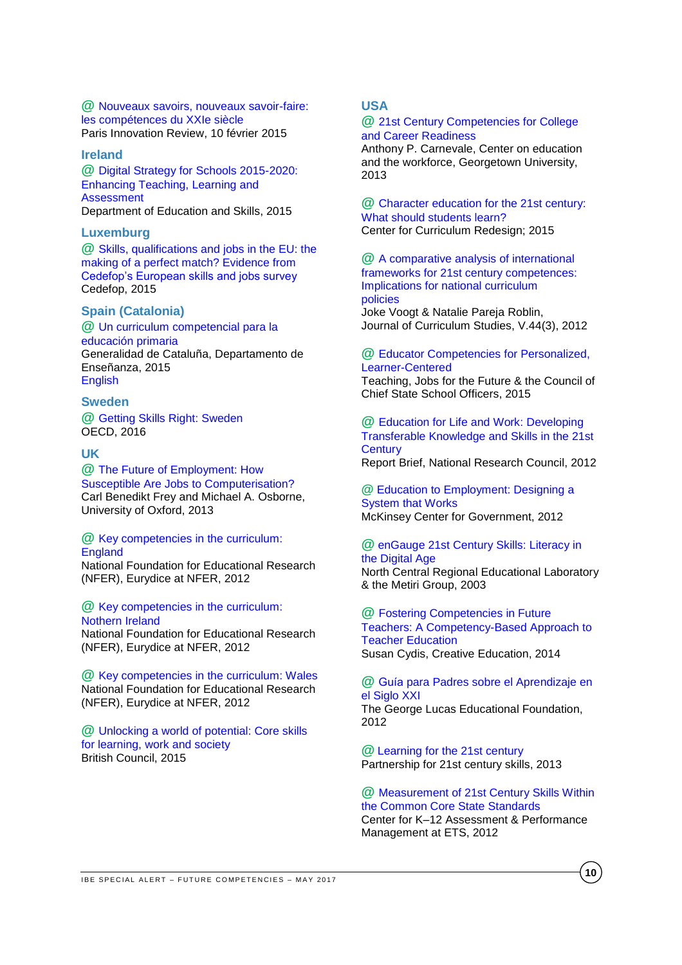**@** [Nouveaux savoirs, nouveaux savoir-faire:](http://parisinnovationreview.com/2015/02/10/education-21-siecle/)  [les compétences du XXIe siècle](http://parisinnovationreview.com/2015/02/10/education-21-siecle/) [Paris Innovation Review,](http://parisinnovationreview.com/author/paristech-review/) 10 février 2015

#### <span id="page-9-0"></span>**Ireland**

**@** [Digital Strategy for Schools 2015-2020:](https://www.education.ie/en/Publications/Policy-Reports/Digital-Strategy-for-Schools-2015-2020.pdf)  [Enhancing Teaching, Learning and](https://www.education.ie/en/Publications/Policy-Reports/Digital-Strategy-for-Schools-2015-2020.pdf)  **[Assessment](https://www.education.ie/en/Publications/Policy-Reports/Digital-Strategy-for-Schools-2015-2020.pdf)** Department of Education and Skills, 2015

# <span id="page-9-1"></span>**Luxemburg**

**@** [Skills, qualifications and jobs in the EU: the](http://www.cedefop.europa.eu/en/publications-and-resources/publications/3072)  [making of a perfect match? Evidence from](http://www.cedefop.europa.eu/en/publications-and-resources/publications/3072)  [Cedefop's European skills and jobs survey](http://www.cedefop.europa.eu/en/publications-and-resources/publications/3072) Cedefop, 2015

# <span id="page-9-2"></span>**Spain (Catalonia)**

**@** [Un curriculum competencial para la](http://ensenyament.gencat.cat/web/.content/home/departament/linies-estrategiques/curriculums-competencials/curriculum_primaria_es.pdf)  [educación primaria](http://ensenyament.gencat.cat/web/.content/home/departament/linies-estrategiques/curriculums-competencials/curriculum_primaria_es.pdf) Generalidad de Cataluña, Departamento de Enseñanza, 2015 [English](http://ensenyament.gencat.cat/web/.content/home/departament/linies-estrategiques/curriculums-competencials/curriculum_primaria_en.pdf)

## <span id="page-9-3"></span>**Sweden**

**@** [Getting Skills Right: Sweden](http://www.oecd-ilibrary.org/employment/getting-skills-right-sweden_9789264265479-en) OECD, 2016

#### <span id="page-9-4"></span>**UK**

**@** [The Future of Employment: How](http://www.oxfordmartin.ox.ac.uk/downloads/academic/The_Future_of_Employment.pdf)  [Susceptible Are Jobs to Computerisation?](http://www.oxfordmartin.ox.ac.uk/downloads/academic/The_Future_of_Employment.pdf) Carl Benedikt Frey and Michael A. Osborne, University of Oxford, 2013

# **@** [Key competencies in the curriculum:](https://www.nfer.ac.uk/pdf/KeyCompetencesEngland.pdf)

**[England](https://www.nfer.ac.uk/pdf/KeyCompetencesEngland.pdf)** 

National Foundation for Educational Research (NFER), Eurydice at NFER, 2012

**@** [Key competencies in the curriculum:](https://www.nfer.ac.uk/pdf/KeyCompetencesNorthernIreland1.pdf)  [Nothern Ireland](https://www.nfer.ac.uk/pdf/KeyCompetencesNorthernIreland1.pdf)

National Foundation for Educational Research (NFER), Eurydice at NFER, 2012

**@** [Key competencies in the curriculum: Wales](https://www.nfer.ac.uk/pdf/KeyCompetencesWales.pdf) National Foundation for Educational Research (NFER), Eurydice at NFER, 2012

<span id="page-9-5"></span>**@** [Unlocking a world of potential: Core skills](https://schoolsonline.britishcouncil.org/sites/so/files/core_skills_brochure_unlocking_a_world_of_potential.pdf)  [for learning, work and society](https://schoolsonline.britishcouncil.org/sites/so/files/core_skills_brochure_unlocking_a_world_of_potential.pdf) British Council, 2015

# **USA**

#### **@** [21st Century Competencies for College](http://www.oce.uqam.ca/wp-content/uploads/2015/01/1312_cd_21stcenturycompetencies.pdf)  [and Career Readiness](http://www.oce.uqam.ca/wp-content/uploads/2015/01/1312_cd_21stcenturycompetencies.pdf)

Anthony P. Carnevale, Center on education and the workforce, Georgetown University, 2013

**@** [Character education for the 21st century:](http://curriculumredesign.org/wp-content/uploads/CCR-CharacterEducation_FINAL_27Feb2015.pdf)  [What should students learn?](http://curriculumredesign.org/wp-content/uploads/CCR-CharacterEducation_FINAL_27Feb2015.pdf) Center for Curriculum Redesign; 2015

**@** [A comparative analysis of international](http://www.oce.uqam.ca/wp-content/uploads/2015/01/1312_voogt_robin_a_comparative.pdf)  [frameworks for 21st century competences:](http://www.oce.uqam.ca/wp-content/uploads/2015/01/1312_voogt_robin_a_comparative.pdf)  [Implications for national curriculum](http://www.oce.uqam.ca/wp-content/uploads/2015/01/1312_voogt_robin_a_comparative.pdf)  [policies](http://www.oce.uqam.ca/wp-content/uploads/2015/01/1312_voogt_robin_a_comparative.pdf)

Joke Voogt & Natalie Pareja Roblin, Journal of Curriculum Studies, V.44(3), 2012

#### **@** [Educator Competencies for Personalized,](http://www.ccsso.org/Documents/Educator-Competencies-081015-FINAL.pdf)  [Learner-Centered](http://www.ccsso.org/Documents/Educator-Competencies-081015-FINAL.pdf)

Teaching, Jobs for the Future & the Council of Chief State School Officers, 2015

**@** [Education for Life and Work:](http://sites.nationalacademies.org/cs/groups/dbassesite/documents/webpage/dbasse_070895.pdf) Developing [Transferable Knowledge and Skills in the 21st](http://sites.nationalacademies.org/cs/groups/dbassesite/documents/webpage/dbasse_070895.pdf)  **[Century](http://sites.nationalacademies.org/cs/groups/dbassesite/documents/webpage/dbasse_070895.pdf)** Report Brief, National Research Council, 2012

**@** [Education to Employment: Designing a](http://mckinseyonsociety.com/downloads/reports/Education/Education-to-Employment_FINAL.pdf)  [System that Works](http://mckinseyonsociety.com/downloads/reports/Education/Education-to-Employment_FINAL.pdf) McKinsey Center for Government, 2012

#### **@** [enGauge 21st Century Skills: Literacy in](http://pict.sdsu.edu/engauge21st.pdf)  [the Digital Age](http://pict.sdsu.edu/engauge21st.pdf) North Central Regional Educational Laboratory & the Metiri Group, 2003

**@** [Fostering Competencies in Future](http://file.scirp.org/pdf/CE_2014071411111144.pdf)  [Teachers: A Competency-Based Approach to](http://file.scirp.org/pdf/CE_2014071411111144.pdf)  [Teacher Education](http://file.scirp.org/pdf/CE_2014071411111144.pdf) Susan Cydis, Creative Education, 2014

#### **@** Guía [para Padres sobre el Aprendizaje en](http://www.edutopia.org/pdfs/guides/edutopia-guia-para-padres-aprendizaje-siglo-21-espanol-para-imprimir.pdf)  [el Siglo XXI](http://www.edutopia.org/pdfs/guides/edutopia-guia-para-padres-aprendizaje-siglo-21-espanol-para-imprimir.pdf)

The George Lucas Educational Foundation, 2012

**@** [Learning for the 21st century](http://www.p21.org/storage/documents/P21_Report.pdf) Partnership for 21st century skills, 2013

#### **@** [Measurement of 21st Century Skills Within](https://cerpp.usc.edu/files/2013/11/Kyllonen_21st_Cent_Skills_and_CCSS.pdf)  [the Common Core State Standards](https://cerpp.usc.edu/files/2013/11/Kyllonen_21st_Cent_Skills_and_CCSS.pdf)

Center for K–12 Assessment & Performance Management at ETS, 2012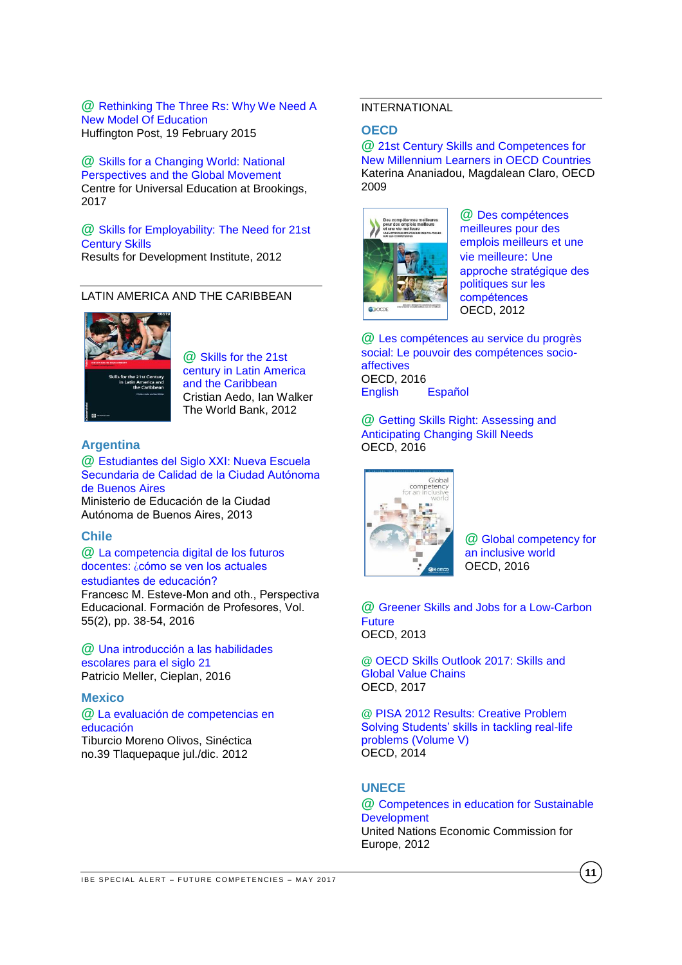**@** [Rethinking The Three Rs: Why We Need A](http://www.huffingtonpost.com/2015/01/23/stem-in-education_n_6519952.html?utm_hp_ref=impactx)  [New Model Of Education](http://www.huffingtonpost.com/2015/01/23/stem-in-education_n_6519952.html?utm_hp_ref=impactx) Huffington Post, 19 February 2015

**@** [Skills for a Changing World: National](https://www.brookings.edu/wp-content/uploads/2017/03/global-20170324-skills-for-a-changing-world.pdf)  [Perspectives and the Global Movement](https://www.brookings.edu/wp-content/uploads/2017/03/global-20170324-skills-for-a-changing-world.pdf) Centre for Universal Education at Brookings, 2017

# **@** [Skills for Employability: The Need for 21st](http://www.resultsfordevelopment.org/sites/resultsfordevelopment.org/files/resources/Global%20Review%20of%20Skills%20for%20the%2021st%20Century.pdf)  [Century Skills](http://www.resultsfordevelopment.org/sites/resultsfordevelopment.org/files/resources/Global%20Review%20of%20Skills%20for%20the%2021st%20Century.pdf)

Results for Development Institute, 2012

# <span id="page-10-0"></span>LATIN AMERICA AND THE CARIBBEAN



**@** [Skills for the 21st](http://documents.worldbank.org/curated/en/187841468047799960/pdf/665190PUB0EPI00skills09780821389713.pdf)  [century in Latin America](http://documents.worldbank.org/curated/en/187841468047799960/pdf/665190PUB0EPI00skills09780821389713.pdf)  [and the Caribbean](http://documents.worldbank.org/curated/en/187841468047799960/pdf/665190PUB0EPI00skills09780821389713.pdf) Cristian Aedo, Ian Walker The World Bank, 2012

# **Argentina**

**@** [Estudiantes del Siglo XXI: Nueva Escuela](http://www.buenosaires.gob.ar/sites/gcaba/files/primera-jornada_documento-n3-nes-de-calidad.pdf)  [Secundaria de Calidad de la Ciudad Autónoma](http://www.buenosaires.gob.ar/sites/gcaba/files/primera-jornada_documento-n3-nes-de-calidad.pdf)  [de Buenos Aires](http://www.buenosaires.gob.ar/sites/gcaba/files/primera-jornada_documento-n3-nes-de-calidad.pdf) Ministerio de Educación de la Ciudad Autónoma de Buenos Aires, 2013

# <span id="page-10-2"></span>**Chile**

**@** [La competencia digital de los futuros](http://www.perspectivaeducacional.cl/index.php/peducacional/article/viewFile/412/207)  docentes: ¿[cómo se ven los actuales](http://www.perspectivaeducacional.cl/index.php/peducacional/article/viewFile/412/207)  [estudiantes de educación?](http://www.perspectivaeducacional.cl/index.php/peducacional/article/viewFile/412/207)  Francesc M. Esteve-Mon and oth., Perspectiva

Educacional. Formación de Profesores, Vol. 55(2), pp. 38-54, 2016

**@** [Una introducción a las habilidades](http://escuelaenmovimiento.educarchile.cl/wp-content/themes/Divi/images/PAPER-MELLER-HABILIDADES-S21-0616.pdf)  [escolares para el siglo 21](http://escuelaenmovimiento.educarchile.cl/wp-content/themes/Divi/images/PAPER-MELLER-HABILIDADES-S21-0616.pdf) Patricio Meller, Cieplan, 2016

# <span id="page-10-3"></span>**Mexico**

**@** [La evaluación de competencias en](http://www.scielo.org.mx/scielo.php?script=sci_arttext&pid=S1665-109X2012000200010)  [educación](http://www.scielo.org.mx/scielo.php?script=sci_arttext&pid=S1665-109X2012000200010) Tiburcio Moreno Olivos, Sinéctica no.39 Tlaquepaque jul./dic. 2012

# <span id="page-10-4"></span>INTERNATIONAL

# <span id="page-10-5"></span>**OECD**

**@** [21st Century Skills and Competences for](http://www.oecd-ilibrary.org/docserver/download/218525261154.pdf?expires=1494494670&id=id&accname=guest&checksum=992104F55466F78587C2C215D28BB913)  [New Millennium Learners in OECD Countries](http://www.oecd-ilibrary.org/docserver/download/218525261154.pdf?expires=1494494670&id=id&accname=guest&checksum=992104F55466F78587C2C215D28BB913) Katerina Ananiadou, Magdalean Claro, OECD 2009



**@** [Des compétences](http://www.skillsforemployment.org/wcmstest4/groups/skills/documents/skpcontent/ddrf/mduw/~edisp/wcmstest4_050445.pdf) [meilleures pour des](http://www.skillsforemployment.org/wcmstest4/groups/skills/documents/skpcontent/ddrf/mduw/~edisp/wcmstest4_050445.pdf)  [emplois meilleurs et une](http://www.skillsforemployment.org/wcmstest4/groups/skills/documents/skpcontent/ddrf/mduw/~edisp/wcmstest4_050445.pdf)  [vie meilleure](http://www.skillsforemployment.org/wcmstest4/groups/skills/documents/skpcontent/ddrf/mduw/~edisp/wcmstest4_050445.pdf): Une approche stratégique des [politiques sur les](http://www.skillsforemployment.org/wcmstest4/groups/skills/documents/skpcontent/ddrf/mduw/~edisp/wcmstest4_050445.pdf)  [compétences](http://www.skillsforemployment.org/wcmstest4/groups/skills/documents/skpcontent/ddrf/mduw/~edisp/wcmstest4_050445.pdf)  OECD, 2012

**@** [Les compétences au service du progrès](http://www.oecd-ilibrary.org/docserver/download/9615012e.pdf?expires=1494494860&id=id&accname=guest&checksum=D4905943F96845ADA79C045FEC9CAF25)  [social: Le pouvoir des compétences socio](http://www.oecd-ilibrary.org/docserver/download/9615012e.pdf?expires=1494494860&id=id&accname=guest&checksum=D4905943F96845ADA79C045FEC9CAF25)[affectives](http://www.oecd-ilibrary.org/docserver/download/9615012e.pdf?expires=1494494860&id=id&accname=guest&checksum=D4905943F96845ADA79C045FEC9CAF25) OECD, 2016 [English](http://www.oecd-ilibrary.org/docserver/download/9615011e.pdf?expires=1494494894&id=id&accname=guest&checksum=0B2ED4B778A4E825A3C6A2243EE9FC86) [Español](http://www.oecd-ilibrary.org/docserver/download/9615014e.pdf?expires=1494494927&id=id&accname=guest&checksum=DE6B31EF0E693749A9CC4EA001EA7934)

<span id="page-10-1"></span>**@** Getting Skills Right: [Assessing](http://www.oecd-ilibrary.org/employment/getting-skills-right-assessing-and-anticipating-changing-skill-needs_9789264252073-en) and [Anticipating](http://www.oecd-ilibrary.org/employment/getting-skills-right-assessing-and-anticipating-changing-skill-needs_9789264252073-en) Changing Skill Needs OECD, 2016



**@** [Global competency for](https://www.oecd.org/education/Global-competency-for-an-inclusive-world.pdf)  [an inclusive world](https://www.oecd.org/education/Global-competency-for-an-inclusive-world.pdf) OECD, 2016

**@** [Greener Skills and Jobs for a Low-Carbon](http://www.oecd-ilibrary.org/docserver/download/5k3v1dtzlxzq-en.pdf?expires=1494495502&id=id&accname=guest&checksum=B5B82DB47200B0CEEAC0F914C9BF3875)  **[Future](http://www.oecd-ilibrary.org/docserver/download/5k3v1dtzlxzq-en.pdf?expires=1494495502&id=id&accname=guest&checksum=B5B82DB47200B0CEEAC0F914C9BF3875)** OECD, 2013

**@** [OECD Skills Outlook 2017: Skills and](http://www.oecd-ilibrary.org/education/oecd-skills-outlook-2017_9789264273351-en)  [Global Value Chains](http://www.oecd-ilibrary.org/education/oecd-skills-outlook-2017_9789264273351-en) OECD, 2017

**@** [PISA 2012 Results: Creative Problem](http://www.oecd.org/pisa/keyfindings/PISA-2012-results-volume-V.pdf)  [Solving Students' skills in tackling real-life](http://www.oecd.org/pisa/keyfindings/PISA-2012-results-volume-V.pdf)  [problems \(Volume V\)](http://www.oecd.org/pisa/keyfindings/PISA-2012-results-volume-V.pdf) OECD, 2014

# <span id="page-10-6"></span>**UNECE**

#### **@** [Competences in education for Sustainable](https://www.unece.org/fileadmin/DAM/env/esd/ESD_Publications/Competences_Publication.pdf)  **[Development](https://www.unece.org/fileadmin/DAM/env/esd/ESD_Publications/Competences_Publication.pdf)** United Nations Economic Commission for Europe, 2012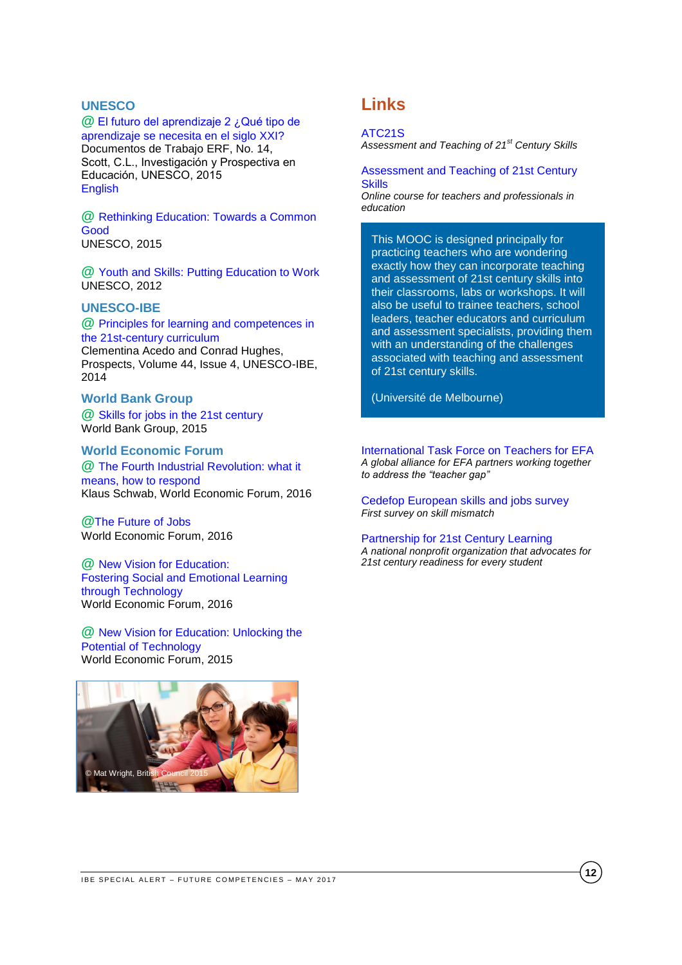# <span id="page-11-0"></span>**UNESCO**

# **@** [El futuro del aprendizaje 2 ¿Qué tipo de](http://unesdoc.unesco.org/images/0024/002429/242996s.pdf)

[aprendizaje se necesita en el siglo XXI?](http://unesdoc.unesco.org/images/0024/002429/242996s.pdf) Documentos de Trabajo ERF, No. 14, Scott, C.L., Investigación y Prospectiva en Educación, UNESCO, 2015 [English](http://unesdoc.unesco.org/images/0024/002429/242996E.pdf)

**@** [Rethinking Education: Towards a Common](http://www.unesco.org/fileadmin/MULTIMEDIA/FIELD/Cairo/images/RethinkingEducation.pdf)  [Good](http://www.unesco.org/fileadmin/MULTIMEDIA/FIELD/Cairo/images/RethinkingEducation.pdf) UNESCO, 2015

**@** [Youth and Skills: Putting Education to Work](http://unesdoc.unesco.org/images/0021/002180/218003e.pdf) UNESCO, 2012

# <span id="page-11-1"></span>**UNESCO-IBE**

#### **@** [Principles for learning and competences in](http://download.springer.com/static/pdf/611/art%253A10.1007%252Fs11125-014-9330-1.pdf?originUrl=http%3A%2F%2Flink.springer.com%2Farticle%2F10.1007%2Fs11125-014-9330-1&token2=exp=1495803220~acl=%2Fstatic%2Fpdf%2F611%2Fart%25253A10.1007%25252Fs11125-014-9330-1.pdf%3ForiginUrl%3Dhttp%253A%252F%252Flink.springer.com%252Farticle%252F10.1007%252Fs11125-014-9330-1*~hmac=7aa7f0c2959ba4f69ec2fdd69ec282134c194d89f12841661aced7e381441dd5)  [the 21st-century curriculum](http://download.springer.com/static/pdf/611/art%253A10.1007%252Fs11125-014-9330-1.pdf?originUrl=http%3A%2F%2Flink.springer.com%2Farticle%2F10.1007%2Fs11125-014-9330-1&token2=exp=1495803220~acl=%2Fstatic%2Fpdf%2F611%2Fart%25253A10.1007%25252Fs11125-014-9330-1.pdf%3ForiginUrl%3Dhttp%253A%252F%252Flink.springer.com%252Farticle%252F10.1007%252Fs11125-014-9330-1*~hmac=7aa7f0c2959ba4f69ec2fdd69ec282134c194d89f12841661aced7e381441dd5)

Clementina Acedo and Conrad Hughes, Prospects, Volume 44, Issue 4, UNESCO-IBE, 2014

# <span id="page-11-2"></span>**World Bank Group**

**@** [Skills for jobs in the 21st century](http://documents.worldbank.org/curated/en/892121467986247777/pdf/98451-BRI-Education-WEF-English-briefs-skills-Box393171B-PUBLIC.pdf) World Bank Group, 2015

# <span id="page-11-3"></span>**World Economic Forum**

**@** [The Fourth Industrial Revolution: what it](https://www.weforum.org/agenda/2016/01/the-fourth-industrial-revolution-what-it-means-and-how-to-respond)  [means, how to respond](https://www.weforum.org/agenda/2016/01/the-fourth-industrial-revolution-what-it-means-and-how-to-respond) Klaus Schwab, World Economic Forum, 2016

**@**[The Future of Jobs](http://www3.weforum.org/docs/WEF_Future_of_Jobs.pdf) World Economic Forum, 2016

**@** [New Vision for Education:](http://www3.weforum.org/docs/WEF_New_Vision_for_Education.pdf)  [Fostering Social and Emotional Learning](http://www3.weforum.org/docs/WEF_New_Vision_for_Education.pdf)  [through Technology](http://www3.weforum.org/docs/WEF_New_Vision_for_Education.pdf)  World Economic Forum, 2016

<span id="page-11-4"></span>**@** [New Vision for Education: Unlocking the](http://www3.weforum.org/docs/WEFUSA_NewVisionforEducation_Report2015.pdf)  [Potential of Technology](http://www3.weforum.org/docs/WEFUSA_NewVisionforEducation_Report2015.pdf) World Economic Forum, 2015



# **Links**

#### [ATC21S](http://www.atc21s.org/)

*Assessment and Teaching of 21st Century Skills* 

[Assessment and Teaching of 21st Century](https://www.coursera.org/learn/atc21s)  **[Skills](https://www.coursera.org/learn/atc21s)** *Online course for teachers and professionals in* 

*education*

This MOOC is designed principally for practicing teachers who are wondering exactly how they can incorporate teaching and assessment of 21st century skills into their classrooms, labs or workshops. It will also be useful to trainee teachers, school leaders, teacher educators and curriculum and assessment specialists, providing them with an understanding of the challenges associated with teaching and assessment of 21st century skills.

(Université de Melbourne)

[International Task Force on Teachers for EFA](http://www.teachersforefa.unesco.org/v2/index.php/en/) *A global alliance for EFA partners working together to address the "teacher gap"*

[Cedefop European skills and jobs survey](http://www.cedefop.europa.eu/en/events-and-projects/projects/european-skills-and-jobs-esj-survey) *First survey on skill mismatch* 

[Partnership for 21st Century Learning](http://www.p21.org/index.php)

*A national nonprofit organization that advocates for 21st century readiness for every student*